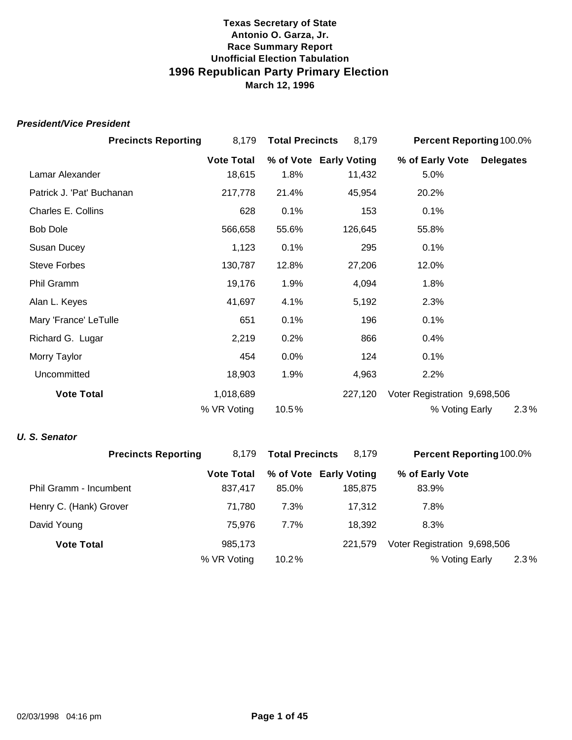#### *President/Vice President*

|                           | <b>Precincts Reporting</b> | 8,179             | <b>Total Precincts</b> | 8,179                  |                              | Percent Reporting 100.0% |
|---------------------------|----------------------------|-------------------|------------------------|------------------------|------------------------------|--------------------------|
|                           |                            | <b>Vote Total</b> |                        | % of Vote Early Voting | % of Early Vote              | <b>Delegates</b>         |
| Lamar Alexander           |                            | 18,615            | 1.8%                   | 11,432                 | 5.0%                         |                          |
| Patrick J. 'Pat' Buchanan |                            | 217,778           | 21.4%                  | 45,954                 | 20.2%                        |                          |
| Charles E. Collins        |                            | 628               | 0.1%                   | 153                    | 0.1%                         |                          |
| <b>Bob Dole</b>           |                            | 566,658           | 55.6%                  | 126,645                | 55.8%                        |                          |
| Susan Ducey               |                            | 1,123             | 0.1%                   | 295                    | 0.1%                         |                          |
| <b>Steve Forbes</b>       |                            | 130,787           | 12.8%                  | 27,206                 | 12.0%                        |                          |
| Phil Gramm                |                            | 19,176            | 1.9%                   | 4,094                  | 1.8%                         |                          |
| Alan L. Keyes             |                            | 41,697            | 4.1%                   | 5,192                  | 2.3%                         |                          |
| Mary 'France' LeTulle     |                            | 651               | 0.1%                   | 196                    | 0.1%                         |                          |
| Richard G. Lugar          |                            | 2,219             | 0.2%                   | 866                    | 0.4%                         |                          |
| Morry Taylor              |                            | 454               | 0.0%                   | 124                    | 0.1%                         |                          |
| Uncommitted               |                            | 18,903            | 1.9%                   | 4,963                  | 2.2%                         |                          |
| <b>Vote Total</b>         |                            | 1,018,689         |                        | 227,120                | Voter Registration 9,698,506 |                          |
|                           |                            | % VR Voting       | 10.5%                  |                        | % Voting Early               | 2.3%                     |

#### *U. S. Senator*

| <b>Precincts Reporting</b> | 8.179             | <b>Total Precincts</b> | 8,179                  | <b>Percent Reporting 100.0%</b> |  |
|----------------------------|-------------------|------------------------|------------------------|---------------------------------|--|
|                            | <b>Vote Total</b> |                        | % of Vote Early Voting | % of Early Vote                 |  |
| Phil Gramm - Incumbent     | 837.417           | 85.0%                  | 185,875                | 83.9%                           |  |
| Henry C. (Hank) Grover     | 71.780            | 7.3%                   | 17.312                 | 7.8%                            |  |
| David Young                | 75.976            | $7.7\%$                | 18.392                 | 8.3%                            |  |
| <b>Vote Total</b>          | 985,173           |                        | 221.579                | Voter Registration 9,698,506    |  |
|                            | % VR Voting       | $10.2\%$               |                        | % Voting Early<br>2.3%          |  |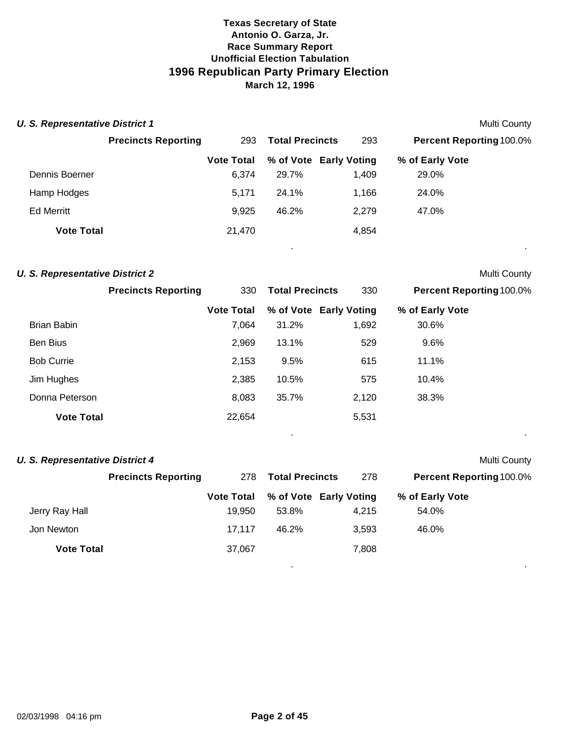| <b>U. S. Representative District 1</b> |                            |                   |                        |                        |                                 | <b>Multi County</b> |
|----------------------------------------|----------------------------|-------------------|------------------------|------------------------|---------------------------------|---------------------|
|                                        | <b>Precincts Reporting</b> | 293               | <b>Total Precincts</b> | 293                    | <b>Percent Reporting 100.0%</b> |                     |
|                                        |                            | <b>Vote Total</b> |                        | % of Vote Early Voting | % of Early Vote                 |                     |
| Dennis Boerner                         |                            | 6.374             | 29.7%                  | 1.409                  | 29.0%                           |                     |
| Hamp Hodges                            |                            | 5.171             | 24.1%                  | 1.166                  | 24.0%                           |                     |
| <b>Ed Merritt</b>                      |                            | 9,925             | 46.2%                  | 2,279                  | 47.0%                           |                     |
| <b>Vote Total</b>                      |                            | 21,470            |                        | 4,854                  |                                 |                     |

. .

. .

. .

# **U. S. Representative District 2** Multi County

|                   | <b>Precincts Reporting</b> | 330               | <b>Total Precincts</b> | 330                    | <b>Percent Reporting 100.0%</b> |  |
|-------------------|----------------------------|-------------------|------------------------|------------------------|---------------------------------|--|
|                   |                            | <b>Vote Total</b> |                        | % of Vote Early Voting | % of Early Vote                 |  |
| Brian Babin       |                            | 7,064             | 31.2%                  | 1,692                  | 30.6%                           |  |
| Ben Bius          |                            | 2,969             | 13.1%                  | 529                    | 9.6%                            |  |
| <b>Bob Currie</b> |                            | 2,153             | 9.5%                   | 615                    | 11.1%                           |  |
| Jim Hughes        |                            | 2,385             | 10.5%                  | 575                    | 10.4%                           |  |
| Donna Peterson    |                            | 8,083             | 35.7%                  | 2,120                  | 38.3%                           |  |
| <b>Vote Total</b> |                            | 22,654            |                        | 5,531                  |                                 |  |
|                   |                            |                   |                        |                        |                                 |  |

#### **U. S. Representative District 4** Multi County

|                   | <b>Precincts Reporting</b> | 278               | <b>Total Precincts</b> | 278                    | <b>Percent Reporting 100.0%</b> |
|-------------------|----------------------------|-------------------|------------------------|------------------------|---------------------------------|
|                   |                            | <b>Vote Total</b> |                        | % of Vote Early Voting | % of Early Vote                 |
| Jerry Ray Hall    |                            | 19.950            | 53.8%                  | 4.215                  | 54.0%                           |
| Jon Newton        |                            | 17.117            | 46.2%                  | 3.593                  | 46.0%                           |
| <b>Vote Total</b> |                            | 37,067            |                        | 7,808                  |                                 |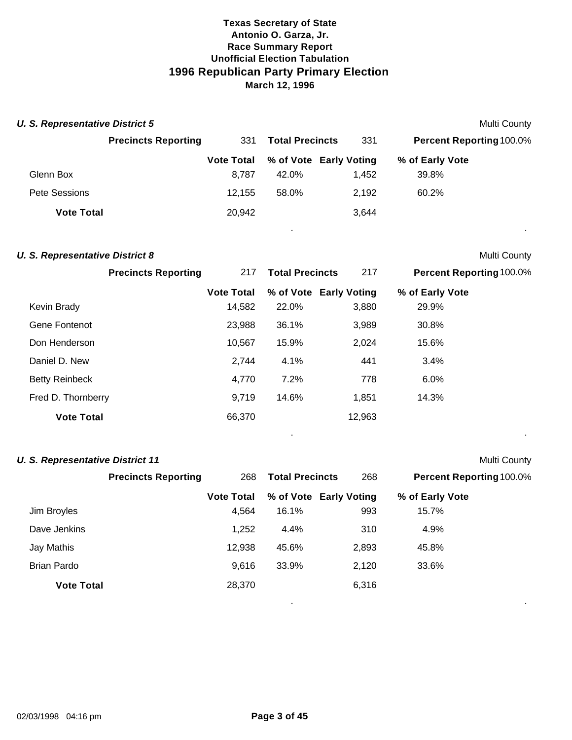| <b>U. S. Representative District 5</b> |                            |                   |                        |                        |                                 | Multi County |
|----------------------------------------|----------------------------|-------------------|------------------------|------------------------|---------------------------------|--------------|
|                                        | <b>Precincts Reporting</b> | 331               | <b>Total Precincts</b> | 331                    | <b>Percent Reporting 100.0%</b> |              |
|                                        |                            | <b>Vote Total</b> |                        | % of Vote Early Voting | % of Early Vote                 |              |
| Glenn Box                              |                            | 8.787             | 42.0%                  | 1.452                  | 39.8%                           |              |
| Pete Sessions                          |                            | 12.155            | 58.0%                  | 2,192                  | 60.2%                           |              |
| <b>Vote Total</b>                      |                            | 20,942            |                        | 3,644                  |                                 |              |

. .

. .

. .

#### **U. S. Representative District 8** Multi County

|                       | <b>Precincts Reporting</b> | 217               | <b>Total Precincts</b> | 217                    | <b>Percent Reporting 100.0%</b> |
|-----------------------|----------------------------|-------------------|------------------------|------------------------|---------------------------------|
|                       |                            | <b>Vote Total</b> |                        | % of Vote Early Voting | % of Early Vote                 |
| Kevin Brady           |                            | 14,582            | 22.0%                  | 3,880                  | 29.9%                           |
| Gene Fontenot         |                            | 23,988            | 36.1%                  | 3,989                  | 30.8%                           |
| Don Henderson         |                            | 10,567            | 15.9%                  | 2,024                  | 15.6%                           |
| Daniel D. New         |                            | 2,744             | 4.1%                   | 441                    | 3.4%                            |
| <b>Betty Reinbeck</b> |                            | 4,770             | 7.2%                   | 778                    | 6.0%                            |
| Fred D. Thornberry    |                            | 9,719             | 14.6%                  | 1,851                  | 14.3%                           |
| <b>Vote Total</b>     |                            | 66,370            |                        | 12,963                 |                                 |

#### **U. S. Representative District 11** Multi County

|                   | <b>Precincts Reporting</b> | 268               | <b>Total Precincts</b> | 268                    | <b>Percent Reporting 100.0%</b> |  |
|-------------------|----------------------------|-------------------|------------------------|------------------------|---------------------------------|--|
|                   |                            | <b>Vote Total</b> |                        | % of Vote Early Voting | % of Early Vote                 |  |
| Jim Broyles       |                            | 4,564             | 16.1%                  | 993                    | 15.7%                           |  |
| Dave Jenkins      |                            | 1,252             | 4.4%                   | 310                    | 4.9%                            |  |
| Jay Mathis        |                            | 12,938            | 45.6%                  | 2,893                  | 45.8%                           |  |
| Brian Pardo       |                            | 9.616             | 33.9%                  | 2,120                  | 33.6%                           |  |
| <b>Vote Total</b> |                            | 28,370            |                        | 6,316                  |                                 |  |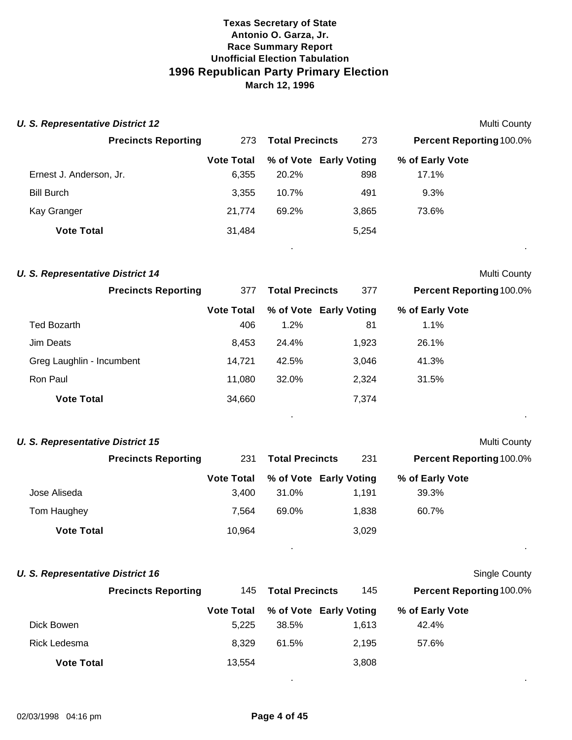| <b>U. S. Representative District 12</b> |                            |                   |                        |                        |                                 | Multi County |
|-----------------------------------------|----------------------------|-------------------|------------------------|------------------------|---------------------------------|--------------|
|                                         | <b>Precincts Reporting</b> | 273               | <b>Total Precincts</b> | 273                    | <b>Percent Reporting 100.0%</b> |              |
|                                         |                            | <b>Vote Total</b> |                        | % of Vote Early Voting | % of Early Vote                 |              |
| Ernest J. Anderson, Jr.                 |                            | 6,355             | 20.2%                  | 898                    | 17.1%                           |              |
| <b>Bill Burch</b>                       |                            | 3,355             | 10.7%                  | 491                    | 9.3%                            |              |
| Kay Granger                             |                            | 21,774            | 69.2%                  | 3,865                  | 73.6%                           |              |
| <b>Vote Total</b>                       |                            | 31,484            |                        | 5,254                  |                                 |              |
|                                         |                            |                   |                        |                        |                                 | $\bullet$    |

| <b>U. S. Representative District 14</b> |                   |                        |                        |                                 | Multi County |
|-----------------------------------------|-------------------|------------------------|------------------------|---------------------------------|--------------|
| <b>Precincts Reporting</b>              | 377               | <b>Total Precincts</b> | 377                    | <b>Percent Reporting 100.0%</b> |              |
|                                         | <b>Vote Total</b> |                        | % of Vote Early Voting | % of Early Vote                 |              |
| <b>Ted Bozarth</b>                      | 406               | 1.2%                   | 81                     | 1.1%                            |              |
| Jim Deats                               | 8,453             | 24.4%                  | 1.923                  | 26.1%                           |              |
| Greg Laughlin - Incumbent               | 14.721            | 42.5%                  | 3,046                  | 41.3%                           |              |
| Ron Paul                                | 11,080            | 32.0%                  | 2,324                  | 31.5%                           |              |
| <b>Vote Total</b>                       | 34,660            |                        | 7,374                  |                                 |              |

. .

. .

**Single County** 

| <b>U. S. Representative District 15</b> |  |                   |                        |                        | Multi County                    |  |
|-----------------------------------------|--|-------------------|------------------------|------------------------|---------------------------------|--|
| <b>Precincts Reporting</b>              |  | 231               | <b>Total Precincts</b> | 231                    | <b>Percent Reporting 100.0%</b> |  |
|                                         |  | <b>Vote Total</b> |                        | % of Vote Early Voting | % of Early Vote                 |  |
| Jose Aliseda                            |  | 3.400             | 31.0%                  | 1.191                  | 39.3%                           |  |
| Tom Haughey                             |  | 7.564             | 69.0%                  | 1.838                  | 60.7%                           |  |
| <b>Vote Total</b>                       |  | 10.964            |                        | 3,029                  |                                 |  |

| U. S. Representative District 16 |  |  |
|----------------------------------|--|--|
|----------------------------------|--|--|

|                   | <b>Precincts Reporting</b> | 145               | <b>Total Precincts</b> | 145                    | <b>Percent Reporting 100.0%</b> |  |
|-------------------|----------------------------|-------------------|------------------------|------------------------|---------------------------------|--|
|                   |                            | <b>Vote Total</b> |                        | % of Vote Early Voting | % of Early Vote                 |  |
| Dick Bowen        |                            | 5.225             | 38.5%                  | 1.613                  | 42.4%                           |  |
| Rick Ledesma      |                            | 8.329             | 61.5%                  | 2.195                  | 57.6%                           |  |
| <b>Vote Total</b> |                            | 13,554            |                        | 3,808                  |                                 |  |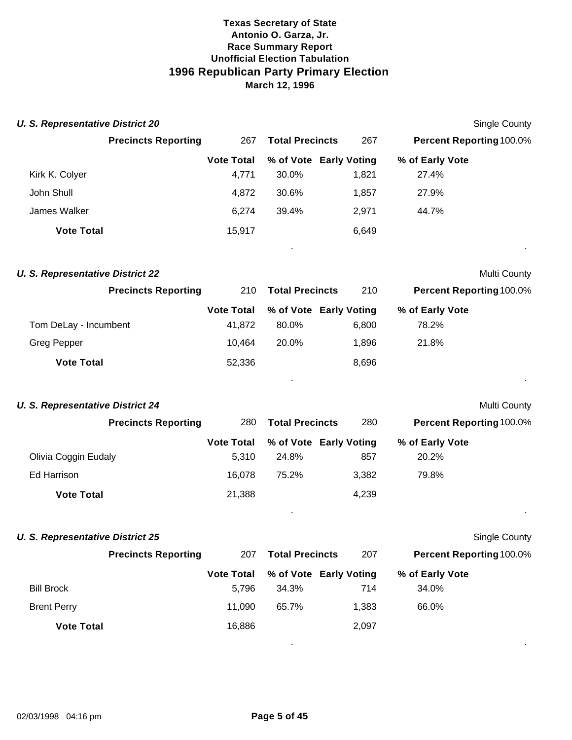| <b>U. S. Representative District 20</b> |                   |                        |                        | <b>Single County</b>     |  |
|-----------------------------------------|-------------------|------------------------|------------------------|--------------------------|--|
| <b>Precincts Reporting</b>              | 267               | <b>Total Precincts</b> | 267                    | Percent Reporting 100.0% |  |
|                                         | <b>Vote Total</b> |                        | % of Vote Early Voting | % of Early Vote          |  |
| Kirk K. Colyer                          | 4,771             | 30.0%                  | 1,821                  | 27.4%                    |  |
| John Shull                              | 4,872             | 30.6%                  | 1,857                  | 27.9%                    |  |
| James Walker                            | 6,274             | 39.4%                  | 2,971                  | 44.7%                    |  |
| <b>Vote Total</b>                       | 15,917            |                        | 6,649                  |                          |  |
| <b>U. S. Representative District 22</b> |                   |                        |                        | Multi County             |  |
| <b>Precincts Reporting</b>              | 210               | <b>Total Precincts</b> | 210                    | Percent Reporting 100.0% |  |
|                                         | <b>Vote Total</b> |                        | % of Vote Early Voting | % of Early Vote          |  |
| Tom DeLay - Incumbent                   | 41,872            | 80.0%                  | 6,800                  | 78.2%                    |  |
| <b>Greg Pepper</b>                      | 10,464            | 20.0%                  | 1,896                  | 21.8%                    |  |
| <b>Vote Total</b>                       | 52,336            |                        | 8,696                  |                          |  |
| <b>U. S. Representative District 24</b> |                   |                        |                        | Multi County             |  |
| <b>Precincts Reporting</b>              | 280               | <b>Total Precincts</b> | 280                    | Percent Reporting 100.0% |  |
|                                         | <b>Vote Total</b> |                        | % of Vote Early Voting | % of Early Vote          |  |
| Olivia Coggin Eudaly                    | 5,310             | 24.8%                  | 857                    | 20.2%                    |  |
| Ed Harrison                             | 16,078            | 75.2%                  | 3,382                  | 79.8%                    |  |
| <b>Vote Total</b>                       | 21,388            |                        | 4,239                  |                          |  |
| <b>U. S. Representative District 25</b> |                   |                        |                        | <b>Single County</b>     |  |
| <b>Precincts Reporting</b>              | 207               | <b>Total Precincts</b> | 207                    | Percent Reporting 100.0% |  |
|                                         | <b>Vote Total</b> |                        | % of Vote Early Voting | % of Early Vote          |  |
| <b>Bill Brock</b>                       | 5,796             | 34.3%                  | 714                    | 34.0%                    |  |
| <b>Brent Perry</b>                      | 11,090            | 65.7%                  | 1,383                  | 66.0%                    |  |
| <b>Vote Total</b>                       | 16,886            |                        | 2,097                  |                          |  |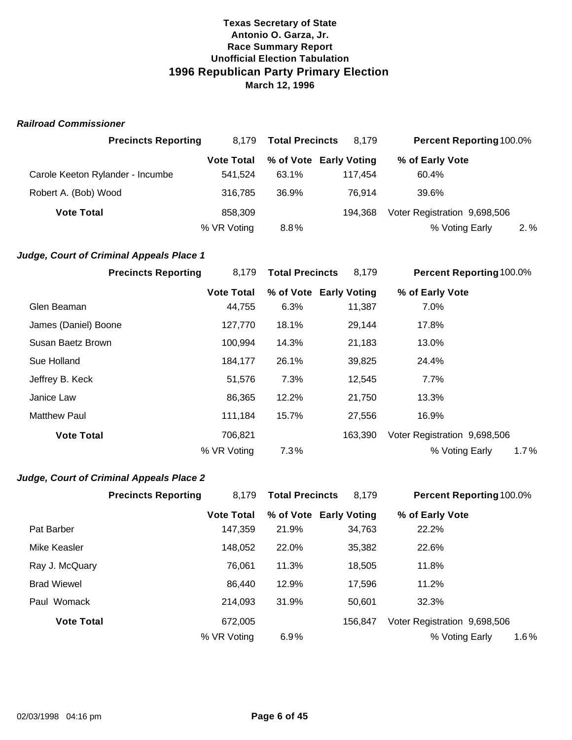#### *Railroad Commissioner*

| <b>Precincts Reporting</b>       | 8.179             | <b>Total Precincts</b> | 8.179                  | <b>Percent Reporting 100.0%</b> |         |
|----------------------------------|-------------------|------------------------|------------------------|---------------------------------|---------|
|                                  | <b>Vote Total</b> |                        | % of Vote Early Voting | % of Early Vote                 |         |
| Carole Keeton Rylander - Incumbe | 541.524           | 63.1%                  | 117.454                | 60.4%                           |         |
| Robert A. (Bob) Wood             | 316.785           | 36.9%                  | 76.914                 | 39.6%                           |         |
| <b>Vote Total</b>                | 858,309           |                        | 194.368                | Voter Registration 9,698,506    |         |
|                                  | % VR Voting       | 8.8%                   |                        | % Voting Early                  | $2. \%$ |

#### *Judge, Court of Criminal Appeals Place 1*

| <b>Precincts Reporting</b> | 8,179             | <b>Total Precincts</b> | 8,179   | <b>Percent Reporting 100.0%</b> |
|----------------------------|-------------------|------------------------|---------|---------------------------------|
|                            | <b>Vote Total</b> | % of Vote Early Voting |         | % of Early Vote                 |
| Glen Beaman                | 44,755            | 6.3%                   | 11,387  | 7.0%                            |
| James (Daniel) Boone       | 127,770           | 18.1%                  | 29,144  | 17.8%                           |
| Susan Baetz Brown          | 100,994           | 14.3%                  | 21,183  | 13.0%                           |
| Sue Holland                | 184,177           | 26.1%                  | 39,825  | 24.4%                           |
| Jeffrey B. Keck            | 51,576            | 7.3%                   | 12,545  | $7.7\%$                         |
| Janice Law                 | 86,365            | 12.2%                  | 21,750  | 13.3%                           |
| <b>Matthew Paul</b>        | 111,184           | 15.7%                  | 27,556  | 16.9%                           |
| <b>Vote Total</b>          | 706,821           |                        | 163.390 | Voter Registration 9,698,506    |
|                            | % VR Voting       | 7.3%                   |         | % Voting Early<br>1.7%          |

#### *Judge, Court of Criminal Appeals Place 2*

|                    | <b>Precincts Reporting</b> | 8,179             | <b>Total Precincts</b> | 8,179                  | <b>Percent Reporting 100.0%</b> |
|--------------------|----------------------------|-------------------|------------------------|------------------------|---------------------------------|
|                    |                            | <b>Vote Total</b> |                        | % of Vote Early Voting | % of Early Vote                 |
| Pat Barber         |                            | 147.359           | 21.9%                  | 34,763                 | 22.2%                           |
| Mike Keasler       |                            | 148,052           | 22.0%                  | 35,382                 | 22.6%                           |
| Ray J. McQuary     |                            | 76,061            | 11.3%                  | 18,505                 | 11.8%                           |
| <b>Brad Wiewel</b> |                            | 86.440            | 12.9%                  | 17.596                 | 11.2%                           |
| Paul Womack        |                            | 214,093           | 31.9%                  | 50.601                 | 32.3%                           |
| <b>Vote Total</b>  |                            | 672.005           |                        | 156,847                | Voter Registration 9,698,506    |
|                    |                            | % VR Voting       | 6.9%                   |                        | $1.6\%$<br>% Voting Early       |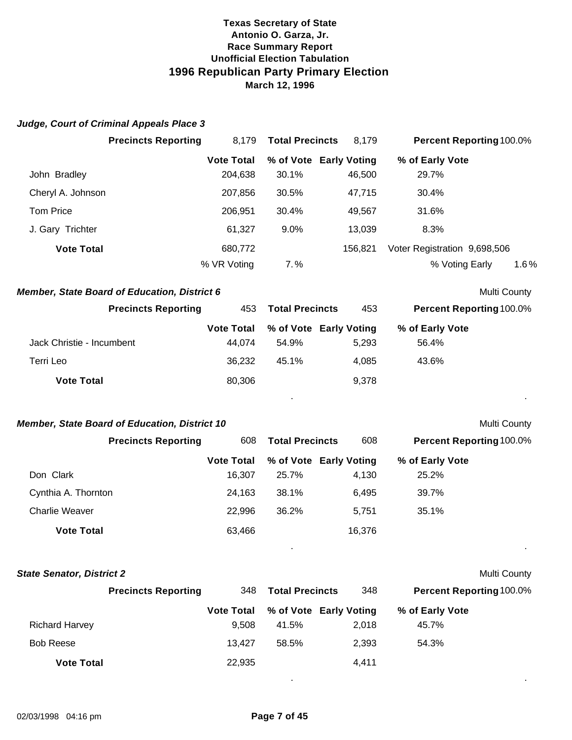#### *Judge, Court of Criminal Appeals Place 3*

|                           | <b>Precincts Reporting</b>                          | 8,179             | <b>Total Precincts</b> | 8,179   | Percent Reporting 100.0%     |                |
|---------------------------|-----------------------------------------------------|-------------------|------------------------|---------|------------------------------|----------------|
|                           |                                                     | <b>Vote Total</b> | % of Vote Early Voting |         | % of Early Vote              |                |
| John Bradley              |                                                     | 204,638           | 30.1%                  | 46,500  | 29.7%                        |                |
| Cheryl A. Johnson         |                                                     | 207,856           | 30.5%                  | 47,715  | 30.4%                        |                |
| <b>Tom Price</b>          |                                                     | 206,951           | 30.4%                  | 49,567  | 31.6%                        |                |
| J. Gary Trichter          |                                                     | 61,327            | 9.0%                   | 13,039  | 8.3%                         |                |
| <b>Vote Total</b>         |                                                     | 680,772           |                        | 156,821 | Voter Registration 9,698,506 |                |
|                           |                                                     | % VR Voting       | $7. \%$                |         | % Voting Early               | 1.6%           |
|                           | <b>Member, State Board of Education, District 6</b> |                   |                        |         |                              | Multi County   |
|                           | <b>Precincts Reporting</b>                          | 453               | <b>Total Precincts</b> | 453     | Percent Reporting 100.0%     |                |
|                           |                                                     | <b>Vote Total</b> | % of Vote Early Voting |         | % of Early Vote              |                |
| Jack Christie - Incumbent |                                                     | 44,074            | 54.9%                  | 5,293   | 56.4%                        |                |
| Terri Leo                 |                                                     | 36,232            | 45.1%                  | 4,085   | 43.6%                        |                |
| <b>Vote Total</b>         |                                                     | 80,306            |                        | 9,378   |                              |                |
|                           |                                                     |                   |                        |         |                              | $\blacksquare$ |
|                           |                                                     |                   |                        |         |                              |                |

#### **Member, State Board of Education, District 10** Multi County

# **Vote Total % of Vote Early Voting % of Early Vote**  Don Clark 16,307 25.7% 4,130 25.2% Cynthia A. Thornton 24,163 38.1% 6,495 39.7% Charlie Weaver 22,996 36.2% 5,751 35.1% **Vote Total** 63,466 16,376 **Precincts Reporting** 608 **Total Precincts** 608 **Percent Reporting**100.0%

. .

| <b>State Senator, District 2</b> |                            |                   |                        |                        |                                 | Multi County |
|----------------------------------|----------------------------|-------------------|------------------------|------------------------|---------------------------------|--------------|
|                                  | <b>Precincts Reporting</b> | 348               | <b>Total Precincts</b> | 348                    | <b>Percent Reporting 100.0%</b> |              |
|                                  |                            | <b>Vote Total</b> |                        | % of Vote Early Voting | % of Early Vote                 |              |
| <b>Richard Harvey</b>            |                            | 9.508             | 41.5%                  | 2.018                  | 45.7%                           |              |
| <b>Bob Reese</b>                 |                            | 13.427            | 58.5%                  | 2.393                  | 54.3%                           |              |
| <b>Vote Total</b>                |                            | 22,935            |                        | 4,411                  |                                 |              |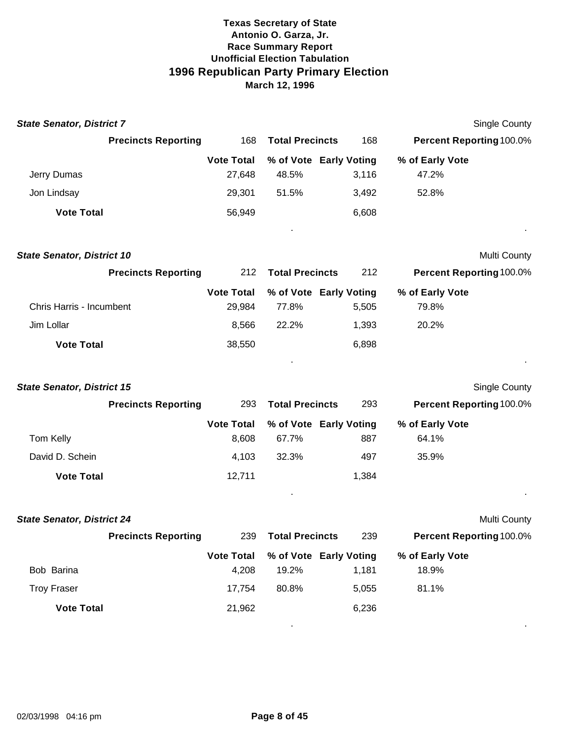| <b>State Senator, District 7</b>  |                            |                             |                                 |       |                          | <b>Single County</b> |
|-----------------------------------|----------------------------|-----------------------------|---------------------------------|-------|--------------------------|----------------------|
|                                   | <b>Precincts Reporting</b> | 168                         | <b>Total Precincts</b>          | 168   | Percent Reporting 100.0% |                      |
|                                   |                            | <b>Vote Total</b>           | % of Vote Early Voting          |       | % of Early Vote          |                      |
| Jerry Dumas                       |                            | 27,648                      | 48.5%                           | 3,116 | 47.2%                    |                      |
| Jon Lindsay                       |                            | 29,301                      | 51.5%                           | 3,492 | 52.8%                    |                      |
| <b>Vote Total</b>                 |                            | 56,949                      |                                 | 6,608 |                          |                      |
|                                   |                            |                             |                                 |       |                          |                      |
| <b>State Senator, District 10</b> |                            |                             |                                 |       |                          | Multi County         |
|                                   | <b>Precincts Reporting</b> | 212                         | <b>Total Precincts</b>          | 212   | Percent Reporting 100.0% |                      |
| Chris Harris - Incumbent          |                            | <b>Vote Total</b><br>29,984 | % of Vote Early Voting<br>77.8% | 5,505 | % of Early Vote<br>79.8% |                      |
| Jim Lollar                        |                            | 8,566                       | 22.2%                           | 1,393 | 20.2%                    |                      |
| <b>Vote Total</b>                 |                            | 38,550                      |                                 | 6,898 |                          |                      |
|                                   |                            |                             |                                 |       |                          |                      |
| <b>State Senator, District 15</b> |                            |                             |                                 |       |                          | <b>Single County</b> |
|                                   | <b>Precincts Reporting</b> | 293                         | <b>Total Precincts</b>          | 293   | Percent Reporting 100.0% |                      |
|                                   |                            | <b>Vote Total</b>           | % of Vote Early Voting          |       | % of Early Vote          |                      |
| Tom Kelly                         |                            | 8,608                       | 67.7%                           | 887   | 64.1%                    |                      |
| David D. Schein                   |                            | 4,103                       | 32.3%                           | 497   | 35.9%                    |                      |
| <b>Vote Total</b>                 |                            | 12,711                      |                                 | 1,384 |                          |                      |
|                                   |                            |                             |                                 |       |                          |                      |
| <b>State Senator, District 24</b> |                            |                             |                                 |       |                          | Multi County         |
|                                   | <b>Precincts Reporting</b> | 239                         | <b>Total Precincts</b>          | 239   | Percent Reporting 100.0% |                      |
|                                   |                            | <b>Vote Total</b>           | % of Vote Early Voting          |       | % of Early Vote          |                      |
| Bob Barina                        |                            | 4,208                       | 19.2%                           | 1,181 | 18.9%                    |                      |
| <b>Troy Fraser</b>                |                            | 17,754                      | 80.8%                           | 5,055 | 81.1%                    |                      |
| <b>Vote Total</b>                 |                            | 21,962                      |                                 | 6,236 |                          |                      |
|                                   |                            |                             |                                 |       |                          |                      |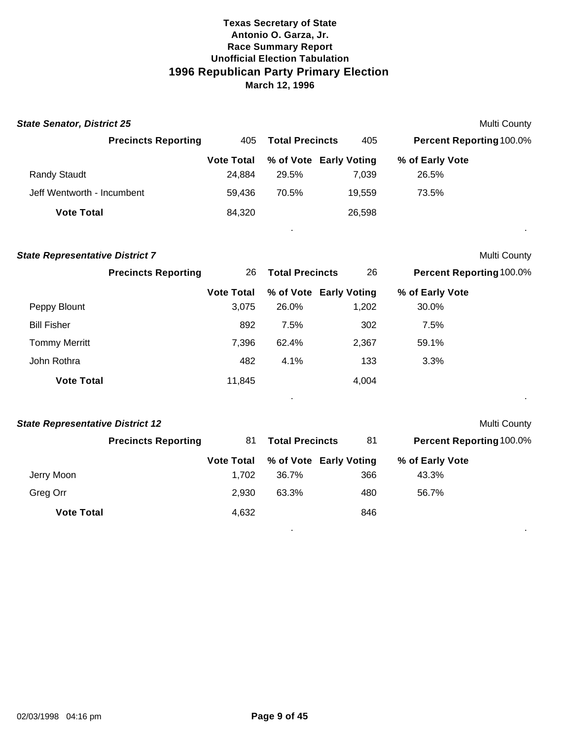| <b>State Senator, District 25</b> |                   |                        |                        |                                 | Multi County |
|-----------------------------------|-------------------|------------------------|------------------------|---------------------------------|--------------|
| <b>Precincts Reporting</b>        | 405               | <b>Total Precincts</b> | 405                    | <b>Percent Reporting 100.0%</b> |              |
|                                   | <b>Vote Total</b> |                        | % of Vote Early Voting | % of Early Vote                 |              |
| <b>Randy Staudt</b>               | 24.884            | 29.5%                  | 7,039                  | 26.5%                           |              |
| Jeff Wentworth - Incumbent        | 59,436            | 70.5%                  | 19,559                 | 73.5%                           |              |
| <b>Vote Total</b>                 | 84,320            |                        | 26,598                 |                                 |              |
|                                   |                   |                        |                        |                                 |              |

| <b>State Representative District 7</b> |                            |                   |                        |                        |                                 | Multi County |
|----------------------------------------|----------------------------|-------------------|------------------------|------------------------|---------------------------------|--------------|
|                                        | <b>Precincts Reporting</b> | 26                | <b>Total Precincts</b> | 26                     | <b>Percent Reporting 100.0%</b> |              |
|                                        |                            | <b>Vote Total</b> |                        | % of Vote Early Voting | % of Early Vote                 |              |
| Peppy Blount                           |                            | 3,075             | 26.0%                  | 1,202                  | 30.0%                           |              |
| <b>Bill Fisher</b>                     |                            | 892               | 7.5%                   | 302                    | 7.5%                            |              |
| <b>Tommy Merritt</b>                   |                            | 7,396             | 62.4%                  | 2,367                  | 59.1%                           |              |
| John Rothra                            |                            | 482               | 4.1%                   | 133                    | 3.3%                            |              |
| <b>Vote Total</b>                      |                            | 11,845            |                        | 4,004                  |                                 |              |

. .

| <b>State Representative District 12</b> |                            |                   |                        |                        | Multi County                    |  |
|-----------------------------------------|----------------------------|-------------------|------------------------|------------------------|---------------------------------|--|
|                                         | <b>Precincts Reporting</b> | 81                | <b>Total Precincts</b> | 81                     | <b>Percent Reporting 100.0%</b> |  |
|                                         |                            | <b>Vote Total</b> |                        | % of Vote Early Voting | % of Early Vote                 |  |
| Jerry Moon                              |                            | 1.702             | 36.7%                  | 366                    | 43.3%                           |  |
| Greg Orr                                |                            | 2.930             | 63.3%                  | 480                    | 56.7%                           |  |
| <b>Vote Total</b>                       |                            | 4,632             |                        | 846                    |                                 |  |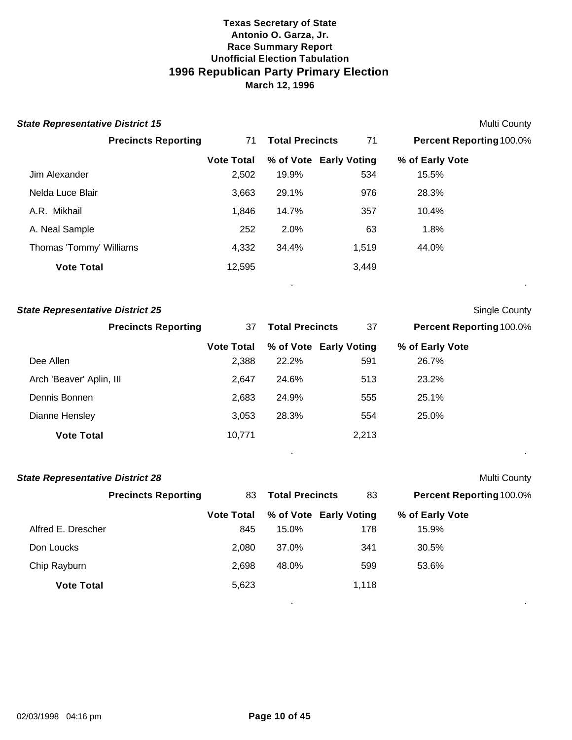| <b>State Representative District 15</b> |                   |                        |       |                                 | <b>Multi County</b> |
|-----------------------------------------|-------------------|------------------------|-------|---------------------------------|---------------------|
| <b>Precincts Reporting</b>              | 71                | <b>Total Precincts</b> | 71    | <b>Percent Reporting 100.0%</b> |                     |
|                                         | <b>Vote Total</b> | % of Vote Early Voting |       | % of Early Vote                 |                     |
| Jim Alexander                           | 2,502             | 19.9%                  | 534   | 15.5%                           |                     |
| Nelda Luce Blair                        | 3,663             | 29.1%                  | 976   | 28.3%                           |                     |
| A.R. Mikhail                            | 1,846             | 14.7%                  | 357   | 10.4%                           |                     |
| A. Neal Sample                          | 252               | 2.0%                   | 63    | 1.8%                            |                     |
| Thomas 'Tommy' Williams                 | 4,332             | 34.4%                  | 1,519 | 44.0%                           |                     |
| <b>Vote Total</b>                       | 12,595            | $\bullet$              | 3,449 |                                 | $\bullet$           |
| <b>State Representative District 25</b> |                   |                        |       |                                 | Single County       |
| <b>Precincts Reporting</b>              | 37                | <b>Total Precincts</b> | 37    | <b>Percent Reporting 100.0%</b> |                     |

|                          |        |       | Vote Total % of Vote Early Voting | % of Early Vote |
|--------------------------|--------|-------|-----------------------------------|-----------------|
| Dee Allen                | 2,388  | 22.2% | 591                               | 26.7%           |
| Arch 'Beaver' Aplin, III | 2.647  | 24.6% | 513                               | 23.2%           |
| Dennis Bonnen            | 2.683  | 24.9% | 555                               | 25.1%           |
| Dianne Hensley           | 3,053  | 28.3% | 554                               | 25.0%           |
| <b>Vote Total</b>        | 10,771 |       | 2,213                             |                 |

. .

| <b>State Representative District 28</b> |                            |                   |                        |                        |                                 | Multi County |
|-----------------------------------------|----------------------------|-------------------|------------------------|------------------------|---------------------------------|--------------|
|                                         | <b>Precincts Reporting</b> | 83                | <b>Total Precincts</b> | 83                     | <b>Percent Reporting 100.0%</b> |              |
|                                         |                            | <b>Vote Total</b> |                        | % of Vote Early Voting | % of Early Vote                 |              |
| Alfred E. Drescher                      |                            | 845               | 15.0%                  | 178                    | 15.9%                           |              |
| Don Loucks                              |                            | 2.080             | 37.0%                  | 341                    | 30.5%                           |              |
| Chip Rayburn                            |                            | 2.698             | 48.0%                  | 599                    | 53.6%                           |              |
| <b>Vote Total</b>                       |                            | 5,623             |                        | 1,118                  |                                 |              |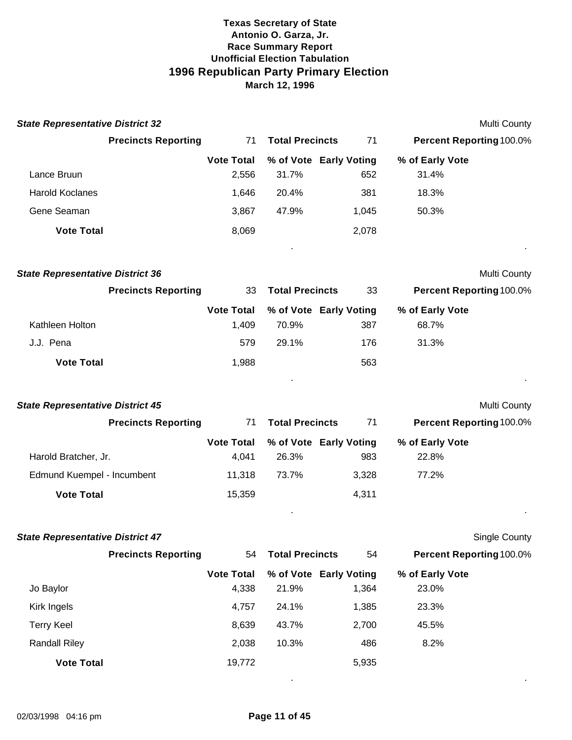| <b>State Representative District 32</b> |                            |                                 |       | Multi County                    |
|-----------------------------------------|----------------------------|---------------------------------|-------|---------------------------------|
| <b>Precincts Reporting</b>              | 71                         | <b>Total Precincts</b>          | 71    | Percent Reporting 100.0%        |
| Lance Bruun                             | <b>Vote Total</b><br>2,556 | % of Vote Early Voting<br>31.7% | 652   | % of Early Vote<br>31.4%        |
| <b>Harold Koclanes</b>                  | 1,646                      | 20.4%                           | 381   | 18.3%                           |
| Gene Seaman                             | 3,867                      | 47.9%                           | 1,045 | 50.3%                           |
| <b>Vote Total</b>                       | 8,069                      |                                 | 2,078 |                                 |
|                                         |                            |                                 |       |                                 |
| <b>State Representative District 36</b> |                            |                                 |       | Multi County                    |
| <b>Precincts Reporting</b>              | 33                         | <b>Total Precincts</b>          | 33    | <b>Percent Reporting 100.0%</b> |
|                                         | <b>Vote Total</b>          | % of Vote Early Voting          |       | % of Early Vote                 |
| Kathleen Holton                         | 1,409                      | 70.9%                           | 387   | 68.7%                           |
| J.J. Pena                               | 579                        | 29.1%                           | 176   | 31.3%                           |
| <b>Vote Total</b>                       | 1,988                      |                                 | 563   |                                 |
|                                         |                            |                                 |       |                                 |
| <b>State Representative District 45</b> |                            |                                 |       | Multi County                    |
| <b>Precincts Reporting</b>              | 71                         | <b>Total Precincts</b>          | 71    | <b>Percent Reporting 100.0%</b> |
|                                         | <b>Vote Total</b>          | % of Vote Early Voting          |       | % of Early Vote                 |
| Harold Bratcher, Jr.                    | 4,041                      | 26.3%                           | 983   | 22.8%                           |
| Edmund Kuempel - Incumbent              | 11,318                     | 73.7%                           | 3,328 | 77.2%                           |
| <b>Vote Total</b>                       | 15,359                     |                                 | 4,311 |                                 |
|                                         |                            |                                 |       |                                 |
| <b>State Representative District 47</b> |                            |                                 |       | <b>Single County</b>            |
| <b>Precincts Reporting</b>              | 54                         | <b>Total Precincts</b>          | 54    | Percent Reporting 100.0%        |
|                                         | <b>Vote Total</b>          | % of Vote Early Voting          |       | % of Early Vote                 |
| Jo Baylor                               | 4,338                      | 21.9%                           | 1,364 | 23.0%                           |
| Kirk Ingels                             | 4,757                      | 24.1%                           | 1,385 | 23.3%                           |
| <b>Terry Keel</b>                       | 8,639                      | 43.7%                           | 2,700 | 45.5%                           |
| <b>Randall Riley</b>                    | 2,038                      | 10.3%                           | 486   | 8.2%                            |
| <b>Vote Total</b>                       | 19,772                     |                                 | 5,935 |                                 |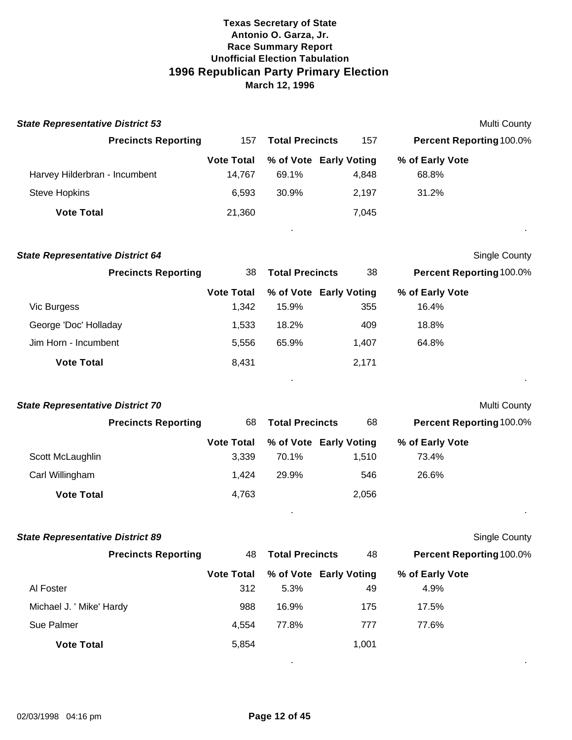| <b>State Representative District 53</b> |                   |                        |                        |                                 | Multi County |
|-----------------------------------------|-------------------|------------------------|------------------------|---------------------------------|--------------|
| <b>Precincts Reporting</b>              | 157               | <b>Total Precincts</b> | 157                    | <b>Percent Reporting 100.0%</b> |              |
|                                         | <b>Vote Total</b> |                        | % of Vote Early Voting | % of Early Vote                 |              |
| Harvey Hilderbran - Incumbent           | 14.767            | 69.1%                  | 4.848                  | 68.8%                           |              |
| <b>Steve Hopkins</b>                    | 6.593             | 30.9%                  | 2.197                  | 31.2%                           |              |
| <b>Vote Total</b>                       | 21,360            |                        | 7.045                  |                                 |              |
|                                         |                   |                        |                        |                                 |              |

| <b>State Representative District 64</b> |                   |                        |                        | <b>Single County</b>            |  |
|-----------------------------------------|-------------------|------------------------|------------------------|---------------------------------|--|
| <b>Precincts Reporting</b>              | 38                | <b>Total Precincts</b> | 38                     | <b>Percent Reporting 100.0%</b> |  |
|                                         | <b>Vote Total</b> |                        | % of Vote Early Voting | % of Early Vote                 |  |
| Vic Burgess                             | 1,342             | 15.9%                  | 355                    | 16.4%                           |  |
| George 'Doc' Holladay                   | 1,533             | 18.2%                  | 409                    | 18.8%                           |  |
| Jim Horn - Incumbent                    | 5,556             | 65.9%                  | 1.407                  | 64.8%                           |  |
| <b>Vote Total</b>                       | 8,431             |                        | 2,171                  |                                 |  |
|                                         |                   |                        |                        |                                 |  |

| <b>State Representative District 70</b> |                            |                   |                        |                        | <b>Multi County</b>             |  |
|-----------------------------------------|----------------------------|-------------------|------------------------|------------------------|---------------------------------|--|
|                                         | <b>Precincts Reporting</b> | 68                | <b>Total Precincts</b> |                        | <b>Percent Reporting 100.0%</b> |  |
|                                         |                            | <b>Vote Total</b> |                        | % of Vote Early Voting | % of Early Vote                 |  |
| Scott McLaughlin                        |                            | 3.339             | 70.1%                  | 1.510                  | 73.4%                           |  |
| Carl Willingham                         |                            | 1,424             | 29.9%                  | 546                    | 26.6%                           |  |
| <b>Vote Total</b>                       |                            | 4,763             |                        | 2,056                  |                                 |  |
|                                         |                            |                   |                        |                        |                                 |  |

| <b>State Representative District 89</b> |                   |                        |                        |                                 | <b>Single County</b> |
|-----------------------------------------|-------------------|------------------------|------------------------|---------------------------------|----------------------|
| <b>Precincts Reporting</b>              | 48                | <b>Total Precincts</b> | 48                     | <b>Percent Reporting 100.0%</b> |                      |
|                                         | <b>Vote Total</b> |                        | % of Vote Early Voting | % of Early Vote                 |                      |
| Al Foster                               | 312               | 5.3%                   | 49                     | 4.9%                            |                      |
| Michael J. ' Mike' Hardy                | 988               | 16.9%                  | 175                    | 17.5%                           |                      |
| Sue Palmer                              | 4,554             | 77.8%                  | 777                    | 77.6%                           |                      |
| <b>Vote Total</b>                       | 5,854             |                        | 1,001                  |                                 |                      |
|                                         |                   |                        |                        |                                 |                      |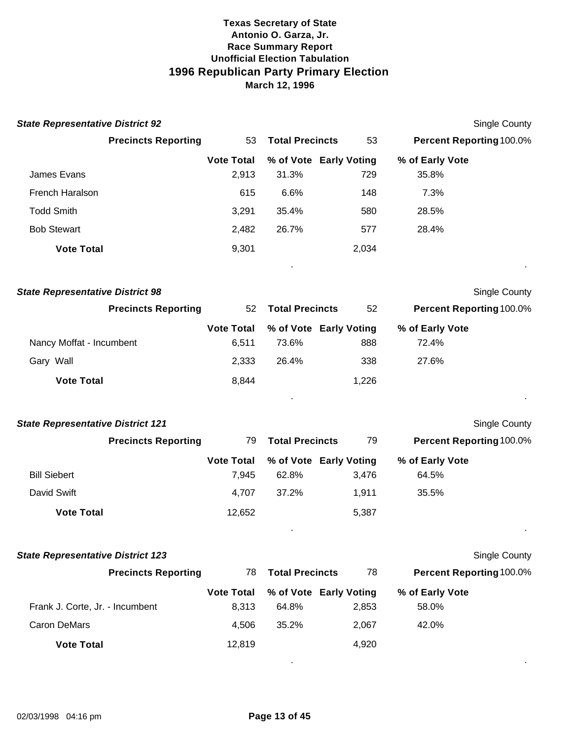| <b>State Representative District 92</b>  |                   |                        |                        | Single County            |
|------------------------------------------|-------------------|------------------------|------------------------|--------------------------|
| <b>Precincts Reporting</b>               | 53                | <b>Total Precincts</b> | 53                     | Percent Reporting 100.0% |
|                                          | <b>Vote Total</b> |                        | % of Vote Early Voting | % of Early Vote          |
| James Evans                              | 2,913             | 31.3%                  | 729                    | 35.8%                    |
| French Haralson                          | 615               | 6.6%                   | 148                    | 7.3%                     |
| <b>Todd Smith</b>                        | 3,291             | 35.4%                  | 580                    | 28.5%                    |
| <b>Bob Stewart</b>                       | 2,482             | 26.7%                  | 577                    | 28.4%                    |
| <b>Vote Total</b>                        | 9,301             |                        | 2,034                  |                          |
| <b>State Representative District 98</b>  |                   |                        |                        | <b>Single County</b>     |
| <b>Precincts Reporting</b>               | 52                | <b>Total Precincts</b> | 52                     | Percent Reporting 100.0% |
|                                          | <b>Vote Total</b> |                        | % of Vote Early Voting | % of Early Vote          |
| Nancy Moffat - Incumbent                 | 6,511             | 73.6%                  | 888                    | 72.4%                    |
| Gary Wall                                | 2,333             | 26.4%                  | 338                    | 27.6%                    |
| <b>Vote Total</b>                        | 8,844             |                        | 1,226                  |                          |
| <b>State Representative District 121</b> |                   |                        |                        | <b>Single County</b>     |
| <b>Precincts Reporting</b>               | 79                | <b>Total Precincts</b> | 79                     | Percent Reporting 100.0% |
|                                          | <b>Vote Total</b> |                        | % of Vote Early Voting | % of Early Vote          |
| <b>Bill Siebert</b>                      | 7,945             | 62.8%                  | 3,476                  | 64.5%                    |
| David Swift                              | 4,707             | 37.2%                  | 1,911                  | 35.5%                    |
| <b>Vote Total</b>                        | 12,652            |                        | 5,387                  |                          |
|                                          |                   |                        |                        |                          |
| <b>State Representative District 123</b> |                   |                        |                        | Single County            |
| <b>Precincts Reporting</b>               | 78                | <b>Total Precincts</b> | 78                     | Percent Reporting 100.0% |
|                                          | <b>Vote Total</b> |                        | % of Vote Early Voting | % of Early Vote          |
| Frank J. Corte, Jr. - Incumbent          | 8,313             | 64.8%                  | 2,853                  | 58.0%                    |
| <b>Caron DeMars</b>                      | 4,506             | 35.2%                  | 2,067                  | 42.0%                    |
| <b>Vote Total</b>                        | 12,819            |                        | 4,920                  |                          |
|                                          |                   |                        |                        |                          |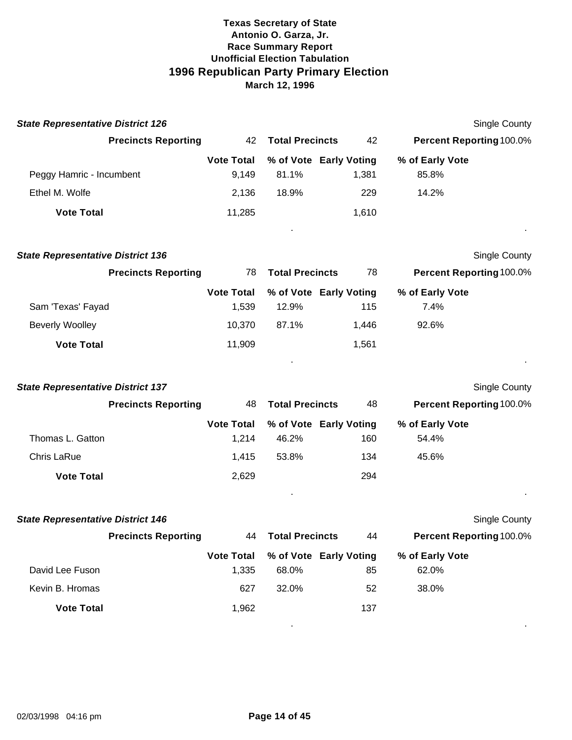| <b>State Representative District 126</b> |                   |                        |                        | Single County                   |  |
|------------------------------------------|-------------------|------------------------|------------------------|---------------------------------|--|
| <b>Precincts Reporting</b>               | 42                | <b>Total Precincts</b> | 42                     | <b>Percent Reporting 100.0%</b> |  |
|                                          | <b>Vote Total</b> |                        | % of Vote Early Voting | % of Early Vote                 |  |
| Peggy Hamric - Incumbent                 | 9.149             | 81.1%                  | 1,381                  | 85.8%                           |  |
| Ethel M. Wolfe                           | 2,136             | 18.9%                  | 229                    | 14.2%                           |  |
| <b>Vote Total</b>                        | 11,285            |                        | 1,610                  |                                 |  |
|                                          |                   |                        |                        |                                 |  |

| <b>State Representative District 136</b> |                            |                              |       |                        |                 | Single County                   |
|------------------------------------------|----------------------------|------------------------------|-------|------------------------|-----------------|---------------------------------|
|                                          | <b>Precincts Reporting</b> | <b>Total Precincts</b><br>78 |       |                        | 78              | <b>Percent Reporting 100.0%</b> |
|                                          |                            | <b>Vote Total</b>            |       | % of Vote Early Voting | % of Early Vote |                                 |
| Sam 'Texas' Fayad                        |                            | 1.539                        | 12.9% | 115                    | 7.4%            |                                 |
| <b>Beverly Woolley</b>                   |                            | 10.370                       | 87.1% | 1.446                  | 92.6%           |                                 |
| <b>Vote Total</b>                        |                            | 11,909                       |       | 1,561                  |                 |                                 |

| <b>State Representative District 137</b> |                            |                              |       |                        | <b>Single County</b>            |  |
|------------------------------------------|----------------------------|------------------------------|-------|------------------------|---------------------------------|--|
|                                          | <b>Precincts Reporting</b> | <b>Total Precincts</b><br>48 |       | 48                     | <b>Percent Reporting 100.0%</b> |  |
|                                          |                            | <b>Vote Total</b>            |       | % of Vote Early Voting | % of Early Vote                 |  |
| Thomas L. Gatton                         |                            | 1.214                        | 46.2% | 160                    | 54.4%                           |  |
| Chris LaRue                              |                            | 1,415                        | 53.8% | 134                    | 45.6%                           |  |
| <b>Vote Total</b>                        |                            | 2,629                        |       | 294                    |                                 |  |
|                                          |                            |                              |       |                        |                                 |  |

| <b>State Representative District 146</b> |                            |                              |       |                        | <b>Single County</b>            |  |
|------------------------------------------|----------------------------|------------------------------|-------|------------------------|---------------------------------|--|
|                                          | <b>Precincts Reporting</b> | <b>Total Precincts</b><br>44 |       | 44                     | <b>Percent Reporting 100.0%</b> |  |
|                                          |                            | <b>Vote Total</b>            |       | % of Vote Early Voting | % of Early Vote                 |  |
| David Lee Fuson                          |                            | 1,335                        | 68.0% | 85                     | 62.0%                           |  |
| Kevin B. Hromas                          |                            | 627                          | 32.0% | 52                     | 38.0%                           |  |
| <b>Vote Total</b>                        |                            | 1,962                        |       | 137                    |                                 |  |
|                                          |                            |                              |       |                        |                                 |  |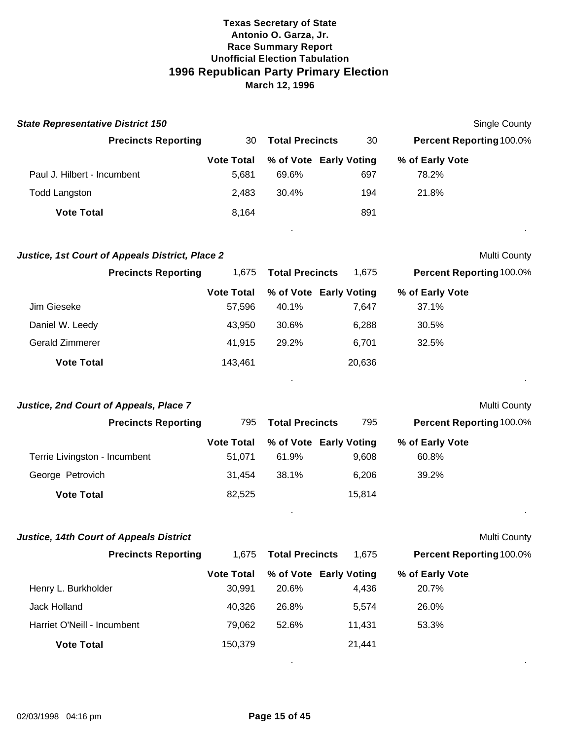| <b>State Representative District 150</b> |                   |                        |                        | Single County                   |  |
|------------------------------------------|-------------------|------------------------|------------------------|---------------------------------|--|
| <b>Precincts Reporting</b>               | 30 I              | <b>Total Precincts</b> | 30                     | <b>Percent Reporting 100.0%</b> |  |
|                                          | <b>Vote Total</b> |                        | % of Vote Early Voting | % of Early Vote                 |  |
| Paul J. Hilbert - Incumbent              | 5.681             | 69.6%                  | 697                    | 78.2%                           |  |
| <b>Todd Langston</b>                     | 2,483             | 30.4%                  | 194                    | 21.8%                           |  |
| <b>Vote Total</b>                        | 8.164             |                        | 891                    |                                 |  |
|                                          |                   |                        |                        |                                 |  |

#### *Justice, 1st Court of Appeals District, Place 2* **Multi County Apple 2 Multi County Apple 2 Multi County Appeals District, Place 2 Multi County Appeals District, Place 2 Multi County Appeals District, Place 2 Multi County**

|                   | <b>Precincts Reporting</b> | 1.675             | <b>Total Precincts</b> | 1.675                  | <b>Percent Reporting 100.0%</b> |
|-------------------|----------------------------|-------------------|------------------------|------------------------|---------------------------------|
|                   |                            | <b>Vote Total</b> |                        | % of Vote Early Voting | % of Early Vote                 |
| Jim Gieseke       |                            | 57,596            | 40.1%                  | 7,647                  | 37.1%                           |
| Daniel W. Leedy   |                            | 43,950            | 30.6%                  | 6,288                  | 30.5%                           |
| Gerald Zimmerer   |                            | 41.915            | 29.2%                  | 6,701                  | 32.5%                           |
| <b>Vote Total</b> |                            | 143.461           |                        | 20,636                 |                                 |
|                   |                            |                   | ٠                      |                        |                                 |

#### *Justice, 2nd Court of Appeals, Place 7* Multi County

|                               | <b>Precincts Reporting</b> | <b>Total Precincts</b><br>795 |       | 795                    |                                 |  |
|-------------------------------|----------------------------|-------------------------------|-------|------------------------|---------------------------------|--|
|                               |                            |                               |       |                        | <b>Percent Reporting 100.0%</b> |  |
|                               |                            | <b>Vote Total</b>             |       | % of Vote Early Voting | % of Early Vote                 |  |
| Terrie Livingston - Incumbent |                            | 51.071                        | 61.9% | 9,608                  | 60.8%                           |  |
| George Petrovich              |                            | 31,454                        | 38.1% | 6.206                  | 39.2%                           |  |
| <b>Vote Total</b>             |                            | 82,525                        |       | 15,814                 |                                 |  |
|                               |                            |                               |       |                        |                                 |  |

#### **Justice, 14th Court of Appeals District**

|                             | <b>Precincts Reporting</b><br>1.675 | <b>Total Precincts</b> | 1.675  | <b>Percent Reporting 100.0%</b> |  |
|-----------------------------|-------------------------------------|------------------------|--------|---------------------------------|--|
|                             | <b>Vote Total</b>                   | % of Vote Early Voting |        | % of Early Vote                 |  |
| Henry L. Burkholder         | 30.991                              | 20.6%                  | 4.436  | 20.7%                           |  |
| Jack Holland                | 40.326                              | 26.8%                  | 5.574  | 26.0%                           |  |
| Harriet O'Neill - Incumbent | 79.062                              | 52.6%                  | 11.431 | 53.3%                           |  |
| <b>Vote Total</b>           | 150,379                             |                        | 21.441 |                                 |  |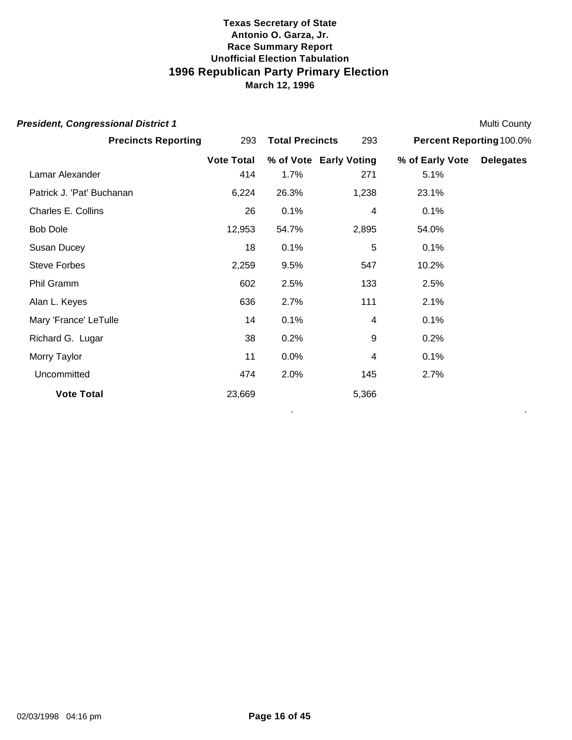| <b>President, Congressional District 1</b> |                               |       |                        |                          | <b>Multi County</b> |
|--------------------------------------------|-------------------------------|-------|------------------------|--------------------------|---------------------|
| <b>Precincts Reporting</b>                 | 293<br><b>Total Precincts</b> |       | 293                    | Percent Reporting 100.0% |                     |
|                                            | <b>Vote Total</b>             |       | % of Vote Early Voting | % of Early Vote          | <b>Delegates</b>    |
| Lamar Alexander                            | 414                           | 1.7%  | 271                    | 5.1%                     |                     |
| Patrick J. 'Pat' Buchanan                  | 6,224                         | 26.3% | 1,238                  | 23.1%                    |                     |
| Charles E. Collins                         | 26                            | 0.1%  | 4                      | 0.1%                     |                     |
| <b>Bob Dole</b>                            | 12,953                        | 54.7% | 2,895                  | 54.0%                    |                     |
| Susan Ducey                                | 18                            | 0.1%  | 5                      | 0.1%                     |                     |
| <b>Steve Forbes</b>                        | 2,259                         | 9.5%  | 547                    | 10.2%                    |                     |
| Phil Gramm                                 | 602                           | 2.5%  | 133                    | 2.5%                     |                     |
| Alan L. Keyes                              | 636                           | 2.7%  | 111                    | 2.1%                     |                     |
| Mary 'France' LeTulle                      | 14                            | 0.1%  | 4                      | 0.1%                     |                     |
| Richard G. Lugar                           | 38                            | 0.2%  | 9                      | 0.2%                     |                     |
| Morry Taylor                               | 11                            | 0.0%  | 4                      | 0.1%                     |                     |
| Uncommitted                                | 474                           | 2.0%  | 145                    | 2.7%                     |                     |
| <b>Vote Total</b>                          | 23,669                        |       | 5,366                  |                          |                     |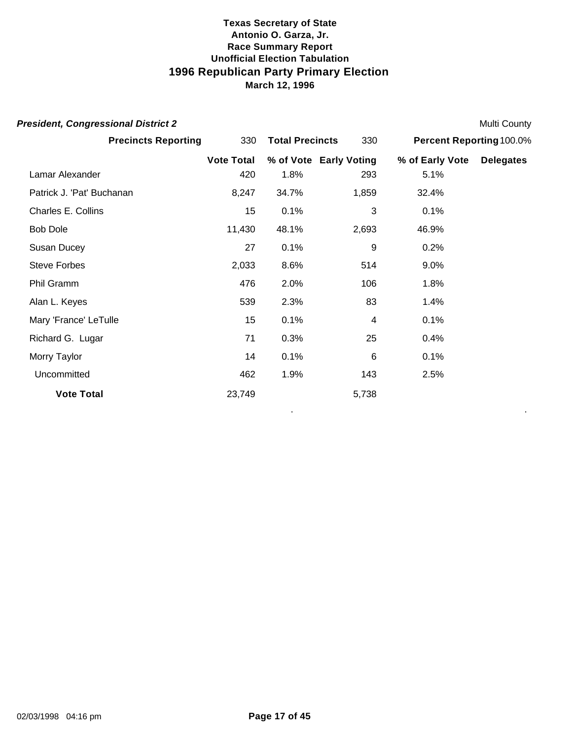| <b>President, Congressional District 2</b> |                   |                        |                        |                          | <b>Multi County</b> |
|--------------------------------------------|-------------------|------------------------|------------------------|--------------------------|---------------------|
| <b>Precincts Reporting</b>                 | 330               | <b>Total Precincts</b> | 330                    | Percent Reporting 100.0% |                     |
|                                            | <b>Vote Total</b> |                        | % of Vote Early Voting | % of Early Vote          | <b>Delegates</b>    |
| Lamar Alexander                            | 420               | 1.8%                   | 293                    | 5.1%                     |                     |
| Patrick J. 'Pat' Buchanan                  | 8,247             | 34.7%                  | 1,859                  | 32.4%                    |                     |
| Charles E. Collins                         | 15                | 0.1%                   | 3                      | 0.1%                     |                     |
| <b>Bob Dole</b>                            | 11,430            | 48.1%                  | 2,693                  | 46.9%                    |                     |
| Susan Ducey                                | 27                | 0.1%                   | 9                      | 0.2%                     |                     |
| <b>Steve Forbes</b>                        | 2,033             | 8.6%                   | 514                    | 9.0%                     |                     |
| Phil Gramm                                 | 476               | 2.0%                   | 106                    | 1.8%                     |                     |
| Alan L. Keyes                              | 539               | 2.3%                   | 83                     | 1.4%                     |                     |
| Mary 'France' LeTulle                      | 15                | 0.1%                   | 4                      | 0.1%                     |                     |
| Richard G. Lugar                           | 71                | 0.3%                   | 25                     | 0.4%                     |                     |
| Morry Taylor                               | 14                | 0.1%                   | 6                      | 0.1%                     |                     |
| Uncommitted                                | 462               | 1.9%                   | 143                    | 2.5%                     |                     |
| <b>Vote Total</b>                          | 23,749            |                        | 5,738                  |                          |                     |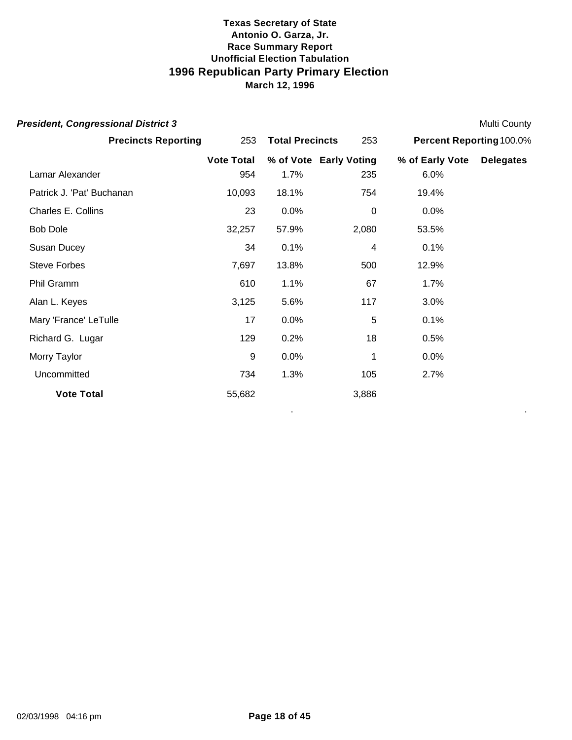| <b>President, Congressional District 3</b> |                   |                        |                        |                          | Multi County     |
|--------------------------------------------|-------------------|------------------------|------------------------|--------------------------|------------------|
| <b>Precincts Reporting</b>                 | 253               | <b>Total Precincts</b> |                        | Percent Reporting 100.0% |                  |
|                                            | <b>Vote Total</b> |                        | % of Vote Early Voting | % of Early Vote          | <b>Delegates</b> |
| Lamar Alexander                            | 954               | 1.7%                   | 235                    | 6.0%                     |                  |
| Patrick J. 'Pat' Buchanan                  | 10,093            | 18.1%                  | 754                    | 19.4%                    |                  |
| Charles E. Collins                         | 23                | 0.0%                   | $\mathbf 0$            | 0.0%                     |                  |
| <b>Bob Dole</b>                            | 32,257            | 57.9%                  | 2,080                  | 53.5%                    |                  |
| Susan Ducey                                | 34                | 0.1%                   | 4                      | 0.1%                     |                  |
| <b>Steve Forbes</b>                        | 7,697             | 13.8%                  | 500                    | 12.9%                    |                  |
| Phil Gramm                                 | 610               | 1.1%                   | 67                     | 1.7%                     |                  |
| Alan L. Keyes                              | 3,125             | 5.6%                   | 117                    | 3.0%                     |                  |
| Mary 'France' LeTulle                      | 17                | 0.0%                   | 5                      | 0.1%                     |                  |
| Richard G. Lugar                           | 129               | 0.2%                   | 18                     | 0.5%                     |                  |
| Morry Taylor                               | 9                 | 0.0%                   | 1                      | 0.0%                     |                  |
| Uncommitted                                | 734               | 1.3%                   | 105                    | 2.7%                     |                  |
| <b>Vote Total</b>                          | 55,682            |                        | 3,886                  |                          |                  |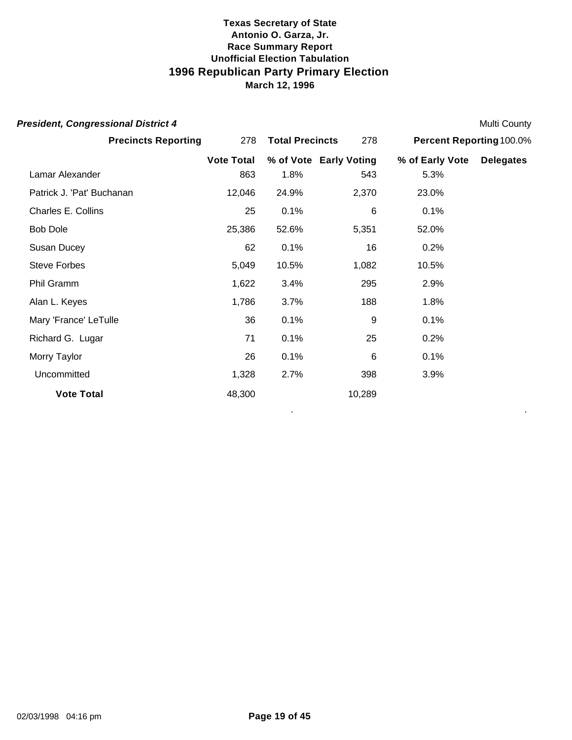| <b>President, Congressional District 4</b> |                   |                        |        |                          | <b>Multi County</b> |
|--------------------------------------------|-------------------|------------------------|--------|--------------------------|---------------------|
| <b>Precincts Reporting</b>                 | 278               | <b>Total Precincts</b> |        | Percent Reporting 100.0% |                     |
|                                            | <b>Vote Total</b> | % of Vote Early Voting |        | % of Early Vote          | <b>Delegates</b>    |
| Lamar Alexander                            | 863               | 1.8%                   | 543    | 5.3%                     |                     |
| Patrick J. 'Pat' Buchanan                  | 12,046            | 24.9%                  | 2,370  | 23.0%                    |                     |
| Charles E. Collins                         | 25                | 0.1%                   | 6      | 0.1%                     |                     |
| <b>Bob Dole</b>                            | 25,386            | 52.6%                  | 5,351  | 52.0%                    |                     |
| Susan Ducey                                | 62                | 0.1%                   | 16     | 0.2%                     |                     |
| <b>Steve Forbes</b>                        | 5,049             | 10.5%                  | 1,082  | 10.5%                    |                     |
| Phil Gramm                                 | 1,622             | 3.4%                   | 295    | 2.9%                     |                     |
| Alan L. Keyes                              | 1,786             | 3.7%                   | 188    | 1.8%                     |                     |
| Mary 'France' LeTulle                      | 36                | 0.1%                   | 9      | 0.1%                     |                     |
| Richard G. Lugar                           | 71                | 0.1%                   | 25     | 0.2%                     |                     |
| Morry Taylor                               | 26                | 0.1%                   | 6      | 0.1%                     |                     |
| Uncommitted                                | 1,328             | 2.7%                   | 398    | 3.9%                     |                     |
| <b>Vote Total</b>                          | 48,300            |                        | 10,289 |                          |                     |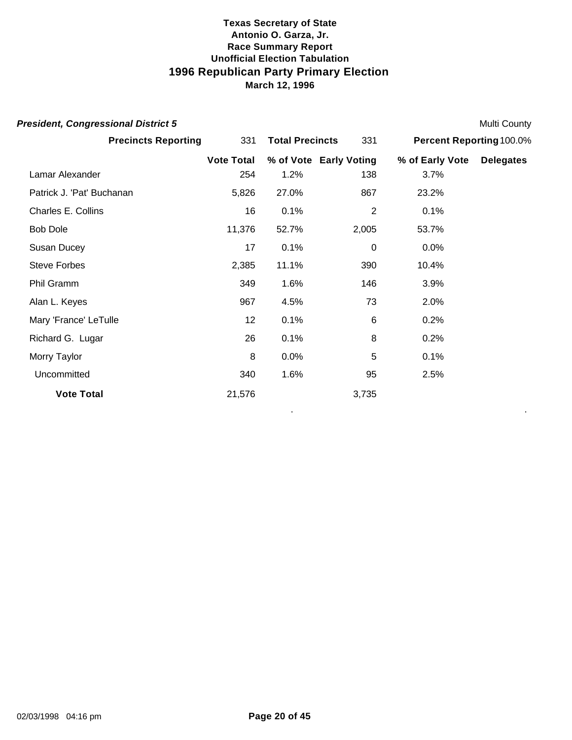| <b>President, Congressional District 5</b> |                   |                        |                        |                          | Multi County     |
|--------------------------------------------|-------------------|------------------------|------------------------|--------------------------|------------------|
| <b>Precincts Reporting</b>                 | 331               | <b>Total Precincts</b> |                        | Percent Reporting 100.0% |                  |
|                                            | <b>Vote Total</b> |                        | % of Vote Early Voting | % of Early Vote          | <b>Delegates</b> |
| Lamar Alexander                            | 254               | 1.2%                   | 138                    | 3.7%                     |                  |
| Patrick J. 'Pat' Buchanan                  | 5,826             | 27.0%                  | 867                    | 23.2%                    |                  |
| Charles E. Collins                         | 16                | 0.1%                   | 2                      | 0.1%                     |                  |
| <b>Bob Dole</b>                            | 11,376            | 52.7%                  | 2,005                  | 53.7%                    |                  |
| Susan Ducey                                | 17                | 0.1%                   | $\overline{0}$         | 0.0%                     |                  |
| <b>Steve Forbes</b>                        | 2,385             | 11.1%                  | 390                    | 10.4%                    |                  |
| Phil Gramm                                 | 349               | 1.6%                   | 146                    | 3.9%                     |                  |
| Alan L. Keyes                              | 967               | 4.5%                   | 73                     | 2.0%                     |                  |
| Mary 'France' LeTulle                      | 12                | 0.1%                   | $6\phantom{1}6$        | 0.2%                     |                  |
| Richard G. Lugar                           | 26                | 0.1%                   | 8                      | 0.2%                     |                  |
| Morry Taylor                               | 8                 | 0.0%                   | 5                      | 0.1%                     |                  |
| Uncommitted                                | 340               | 1.6%                   | 95                     | 2.5%                     |                  |
| <b>Vote Total</b>                          | 21,576            |                        | 3,735                  |                          |                  |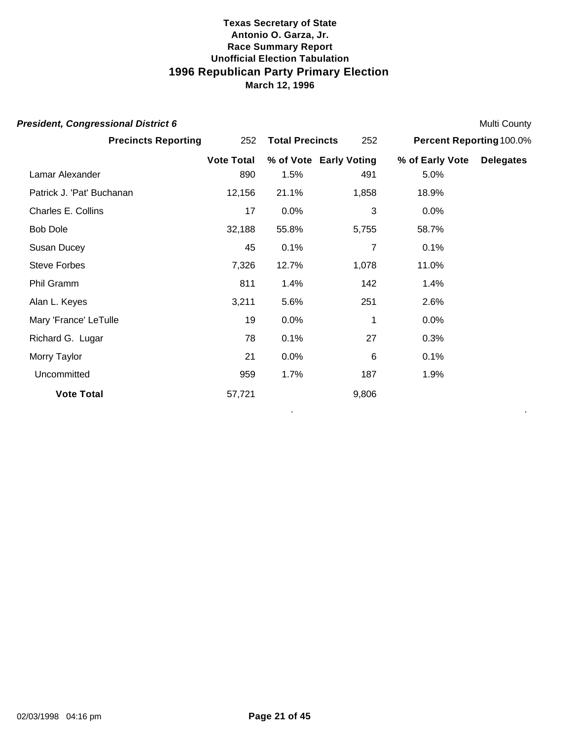| <b>President, Congressional District 6</b> |                   |                        |                        |                           | <b>Multi County</b> |
|--------------------------------------------|-------------------|------------------------|------------------------|---------------------------|---------------------|
| <b>Precincts Reporting</b>                 | 252               | <b>Total Precincts</b> |                        | Percent Reporting 100.0%  |                     |
|                                            | <b>Vote Total</b> |                        | % of Vote Early Voting | % of Early Vote Delegates |                     |
| Lamar Alexander                            | 890               | 1.5%                   | 491                    | 5.0%                      |                     |
| Patrick J. 'Pat' Buchanan                  | 12,156            | 21.1%                  | 1,858                  | 18.9%                     |                     |
| Charles E. Collins                         | 17                | 0.0%                   | 3                      | 0.0%                      |                     |
| <b>Bob Dole</b>                            | 32,188            | 55.8%                  | 5,755                  | 58.7%                     |                     |
| Susan Ducey                                | 45                | 0.1%                   | 7                      | 0.1%                      |                     |
| <b>Steve Forbes</b>                        | 7,326             | 12.7%                  | 1,078                  | 11.0%                     |                     |
| Phil Gramm                                 | 811               | 1.4%                   | 142                    | 1.4%                      |                     |
| Alan L. Keyes                              | 3,211             | 5.6%                   | 251                    | 2.6%                      |                     |
| Mary 'France' LeTulle                      | 19                | 0.0%                   | 1                      | 0.0%                      |                     |
| Richard G. Lugar                           | 78                | 0.1%                   | 27                     | 0.3%                      |                     |
| Morry Taylor                               | 21                | 0.0%                   | $6\phantom{1}6$        | 0.1%                      |                     |
| Uncommitted                                | 959               | 1.7%                   | 187                    | 1.9%                      |                     |
| <b>Vote Total</b>                          | 57,721            |                        | 9,806                  |                           |                     |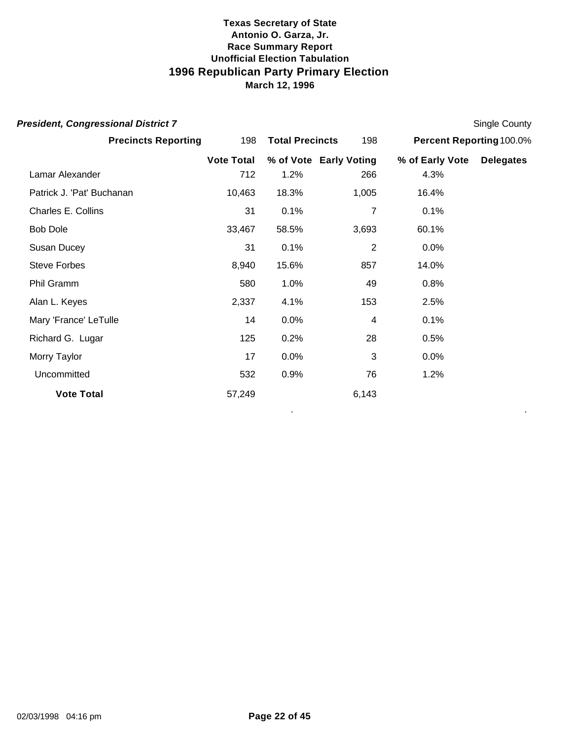| <b>President, Congressional District 7</b> |                   |                        |                        |                          | Single County    |
|--------------------------------------------|-------------------|------------------------|------------------------|--------------------------|------------------|
| <b>Precincts Reporting</b>                 | 198               | <b>Total Precincts</b> | 198                    | Percent Reporting 100.0% |                  |
|                                            | <b>Vote Total</b> |                        | % of Vote Early Voting | % of Early Vote          | <b>Delegates</b> |
| Lamar Alexander                            | 712               | 1.2%                   | 266                    | 4.3%                     |                  |
| Patrick J. 'Pat' Buchanan                  | 10,463            | 18.3%                  | 1,005                  | 16.4%                    |                  |
| Charles E. Collins                         | 31                | 0.1%                   | 7                      | 0.1%                     |                  |
| <b>Bob Dole</b>                            | 33,467            | 58.5%                  | 3,693                  | 60.1%                    |                  |
| Susan Ducey                                | 31                | 0.1%                   | $\overline{2}$         | 0.0%                     |                  |
| <b>Steve Forbes</b>                        | 8,940             | 15.6%                  | 857                    | 14.0%                    |                  |
| Phil Gramm                                 | 580               | 1.0%                   | 49                     | 0.8%                     |                  |
| Alan L. Keyes                              | 2,337             | 4.1%                   | 153                    | 2.5%                     |                  |
| Mary 'France' LeTulle                      | 14                | 0.0%                   | $\overline{4}$         | 0.1%                     |                  |
| Richard G. Lugar                           | 125               | 0.2%                   | 28                     | 0.5%                     |                  |
| Morry Taylor                               | 17                | 0.0%                   | 3                      | 0.0%                     |                  |
| Uncommitted                                | 532               | 0.9%                   | 76                     | 1.2%                     |                  |
| <b>Vote Total</b>                          | 57,249            |                        | 6,143                  |                          |                  |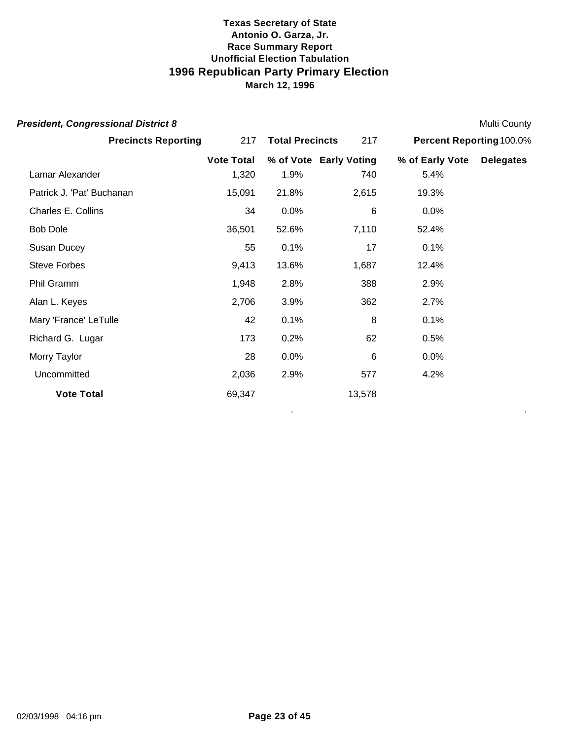| <b>President, Congressional District 8</b> |                               |       |                        |                          | <b>Multi County</b> |
|--------------------------------------------|-------------------------------|-------|------------------------|--------------------------|---------------------|
| <b>Precincts Reporting</b>                 | 217<br><b>Total Precincts</b> |       | 217                    | Percent Reporting 100.0% |                     |
|                                            | <b>Vote Total</b>             |       | % of Vote Early Voting | % of Early Vote          | <b>Delegates</b>    |
| Lamar Alexander                            | 1,320                         | 1.9%  | 740                    | 5.4%                     |                     |
| Patrick J. 'Pat' Buchanan                  | 15,091                        | 21.8% | 2,615                  | 19.3%                    |                     |
| Charles E. Collins                         | 34                            | 0.0%  | 6                      | 0.0%                     |                     |
| <b>Bob Dole</b>                            | 36,501                        | 52.6% | 7,110                  | 52.4%                    |                     |
| Susan Ducey                                | 55                            | 0.1%  | 17                     | 0.1%                     |                     |
| <b>Steve Forbes</b>                        | 9,413                         | 13.6% | 1,687                  | 12.4%                    |                     |
| Phil Gramm                                 | 1,948                         | 2.8%  | 388                    | 2.9%                     |                     |
| Alan L. Keyes                              | 2,706                         | 3.9%  | 362                    | 2.7%                     |                     |
| Mary 'France' LeTulle                      | 42                            | 0.1%  | 8                      | 0.1%                     |                     |
| Richard G. Lugar                           | 173                           | 0.2%  | 62                     | 0.5%                     |                     |
| Morry Taylor                               | 28                            | 0.0%  | 6                      | 0.0%                     |                     |
| Uncommitted                                | 2,036                         | 2.9%  | 577                    | 4.2%                     |                     |
| <b>Vote Total</b>                          | 69,347                        |       | 13,578                 |                          |                     |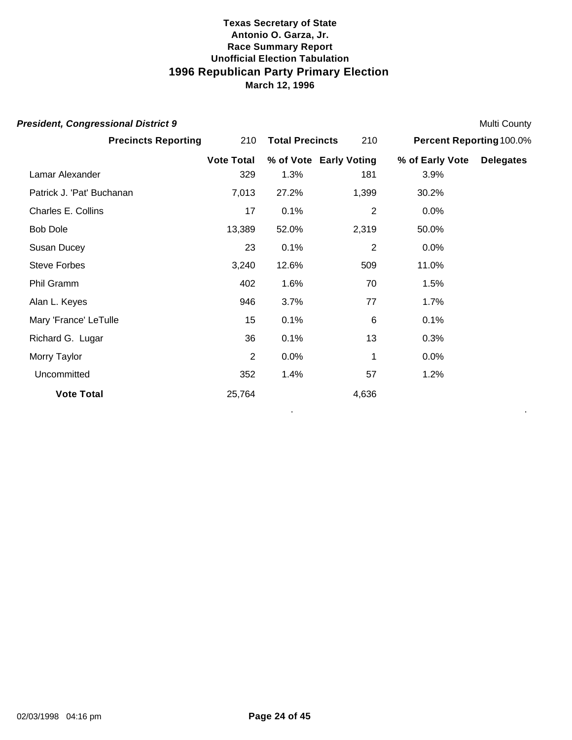| <b>President, Congressional District 9</b> |                   |                        |                |                          | <b>Multi County</b> |
|--------------------------------------------|-------------------|------------------------|----------------|--------------------------|---------------------|
| <b>Precincts Reporting</b>                 | 210               | <b>Total Precincts</b> | 210            | Percent Reporting 100.0% |                     |
|                                            | <b>Vote Total</b> | % of Vote Early Voting |                | % of Early Vote          | <b>Delegates</b>    |
| Lamar Alexander                            | 329               | 1.3%                   | 181            | 3.9%                     |                     |
| Patrick J. 'Pat' Buchanan                  | 7,013             | 27.2%                  | 1,399          | 30.2%                    |                     |
| Charles E. Collins                         | 17                | 0.1%                   | $\overline{2}$ | 0.0%                     |                     |
| <b>Bob Dole</b>                            | 13,389            | 52.0%                  | 2,319          | 50.0%                    |                     |
| Susan Ducey                                | 23                | 0.1%                   | $\overline{2}$ | 0.0%                     |                     |
| <b>Steve Forbes</b>                        | 3,240             | 12.6%                  | 509            | 11.0%                    |                     |
| Phil Gramm                                 | 402               | 1.6%                   | 70             | 1.5%                     |                     |
| Alan L. Keyes                              | 946               | 3.7%                   | 77             | 1.7%                     |                     |
| Mary 'France' LeTulle                      | 15                | 0.1%                   | 6              | 0.1%                     |                     |
| Richard G. Lugar                           | 36                | 0.1%                   | 13             | 0.3%                     |                     |
| Morry Taylor                               | 2                 | 0.0%                   | 1              | 0.0%                     |                     |
| Uncommitted                                | 352               | 1.4%                   | 57             | 1.2%                     |                     |
| <b>Vote Total</b>                          | 25,764            |                        | 4,636          |                          |                     |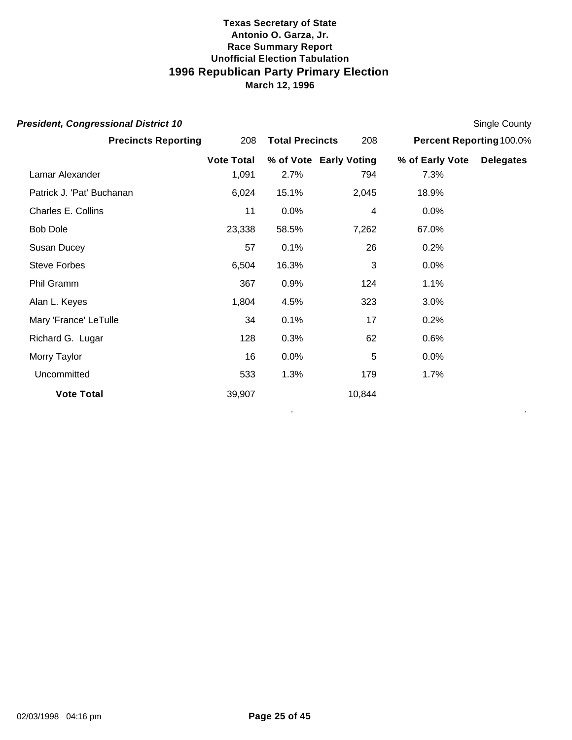| <b>President, Congressional District 10</b> |                   |                        |                        |                          | Single County    |
|---------------------------------------------|-------------------|------------------------|------------------------|--------------------------|------------------|
| <b>Precincts Reporting</b>                  | 208               | <b>Total Precincts</b> | 208                    | Percent Reporting 100.0% |                  |
|                                             | <b>Vote Total</b> |                        | % of Vote Early Voting | % of Early Vote          | <b>Delegates</b> |
| Lamar Alexander                             | 1,091             | 2.7%                   | 794                    | 7.3%                     |                  |
| Patrick J. 'Pat' Buchanan                   | 6,024             | 15.1%                  | 2,045                  | 18.9%                    |                  |
| Charles E. Collins                          | 11                | 0.0%                   | 4                      | 0.0%                     |                  |
| <b>Bob Dole</b>                             | 23,338            | 58.5%                  | 7,262                  | 67.0%                    |                  |
| Susan Ducey                                 | 57                | 0.1%                   | 26                     | 0.2%                     |                  |
| <b>Steve Forbes</b>                         | 6,504             | 16.3%                  | 3                      | 0.0%                     |                  |
| Phil Gramm                                  | 367               | 0.9%                   | 124                    | 1.1%                     |                  |
| Alan L. Keyes                               | 1,804             | 4.5%                   | 323                    | 3.0%                     |                  |
| Mary 'France' LeTulle                       | 34                | 0.1%                   | 17                     | 0.2%                     |                  |
| Richard G. Lugar                            | 128               | 0.3%                   | 62                     | 0.6%                     |                  |
| Morry Taylor                                | 16                | 0.0%                   | 5                      | 0.0%                     |                  |
| Uncommitted                                 | 533               | 1.3%                   | 179                    | 1.7%                     |                  |
| <b>Vote Total</b>                           | 39,907            |                        | 10,844                 |                          |                  |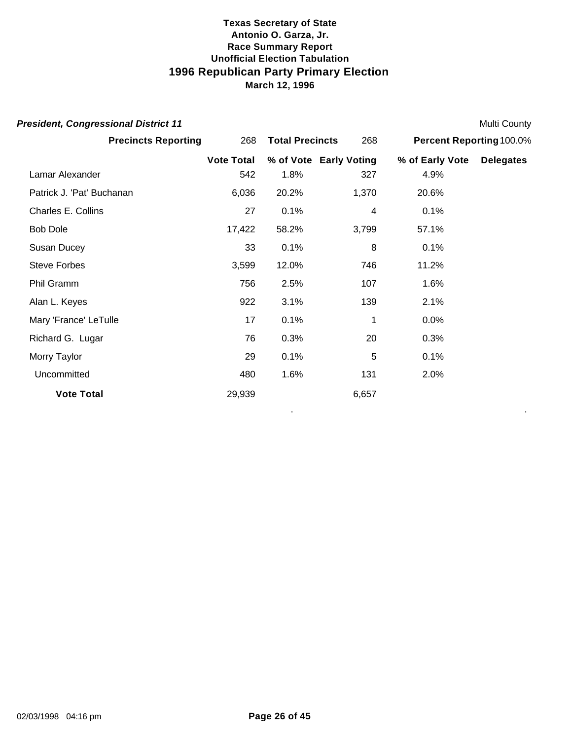| <b>President, Congressional District 11</b> |                   |                        |                        |                          | <b>Multi County</b> |
|---------------------------------------------|-------------------|------------------------|------------------------|--------------------------|---------------------|
| <b>Precincts Reporting</b>                  | 268               | <b>Total Precincts</b> | 268                    | Percent Reporting 100.0% |                     |
|                                             | <b>Vote Total</b> |                        | % of Vote Early Voting | % of Early Vote          | <b>Delegates</b>    |
| Lamar Alexander                             | 542               | 1.8%                   | 327                    | 4.9%                     |                     |
| Patrick J. 'Pat' Buchanan                   | 6,036             | 20.2%                  | 1,370                  | 20.6%                    |                     |
| Charles E. Collins                          | 27                | 0.1%                   | 4                      | 0.1%                     |                     |
| <b>Bob Dole</b>                             | 17,422            | 58.2%                  | 3,799                  | 57.1%                    |                     |
| Susan Ducey                                 | 33                | 0.1%                   | 8                      | 0.1%                     |                     |
| <b>Steve Forbes</b>                         | 3,599             | 12.0%                  | 746                    | 11.2%                    |                     |
| Phil Gramm                                  | 756               | 2.5%                   | 107                    | 1.6%                     |                     |
| Alan L. Keyes                               | 922               | 3.1%                   | 139                    | 2.1%                     |                     |
| Mary 'France' LeTulle                       | 17                | 0.1%                   | 1                      | 0.0%                     |                     |
| Richard G. Lugar                            | 76                | 0.3%                   | 20                     | 0.3%                     |                     |
| Morry Taylor                                | 29                | 0.1%                   | 5                      | 0.1%                     |                     |
| Uncommitted                                 | 480               | 1.6%                   | 131                    | 2.0%                     |                     |
| <b>Vote Total</b>                           | 29,939            |                        | 6,657                  |                          |                     |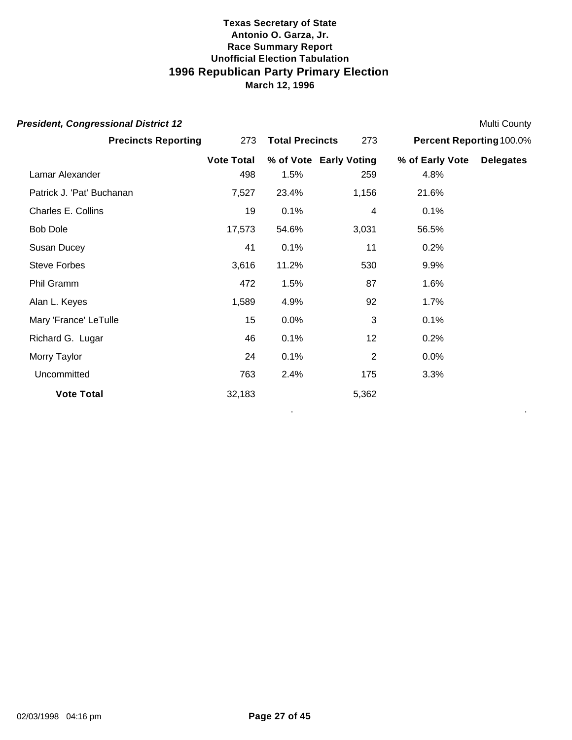| <b>President, Congressional District 12</b> |                   |                        |                        |                          | Multi County     |
|---------------------------------------------|-------------------|------------------------|------------------------|--------------------------|------------------|
| <b>Precincts Reporting</b>                  | 273               | <b>Total Precincts</b> | 273                    | Percent Reporting 100.0% |                  |
|                                             | <b>Vote Total</b> |                        | % of Vote Early Voting | % of Early Vote          | <b>Delegates</b> |
| Lamar Alexander                             | 498               | 1.5%                   | 259                    | 4.8%                     |                  |
| Patrick J. 'Pat' Buchanan                   | 7,527             | 23.4%                  | 1,156                  | 21.6%                    |                  |
| Charles E. Collins                          | 19                | 0.1%                   | 4                      | 0.1%                     |                  |
| <b>Bob Dole</b>                             | 17,573            | 54.6%                  | 3,031                  | 56.5%                    |                  |
| Susan Ducey                                 | 41                | 0.1%                   | 11                     | 0.2%                     |                  |
| <b>Steve Forbes</b>                         | 3,616             | 11.2%                  | 530                    | 9.9%                     |                  |
| Phil Gramm                                  | 472               | 1.5%                   | 87                     | 1.6%                     |                  |
| Alan L. Keyes                               | 1,589             | 4.9%                   | 92                     | 1.7%                     |                  |
| Mary 'France' LeTulle                       | 15                | 0.0%                   | 3                      | 0.1%                     |                  |
| Richard G. Lugar                            | 46                | 0.1%                   | 12                     | 0.2%                     |                  |
| Morry Taylor                                | 24                | 0.1%                   | 2                      | 0.0%                     |                  |
| Uncommitted                                 | 763               | 2.4%                   | 175                    | 3.3%                     |                  |
| <b>Vote Total</b>                           | 32,183            |                        | 5,362                  |                          |                  |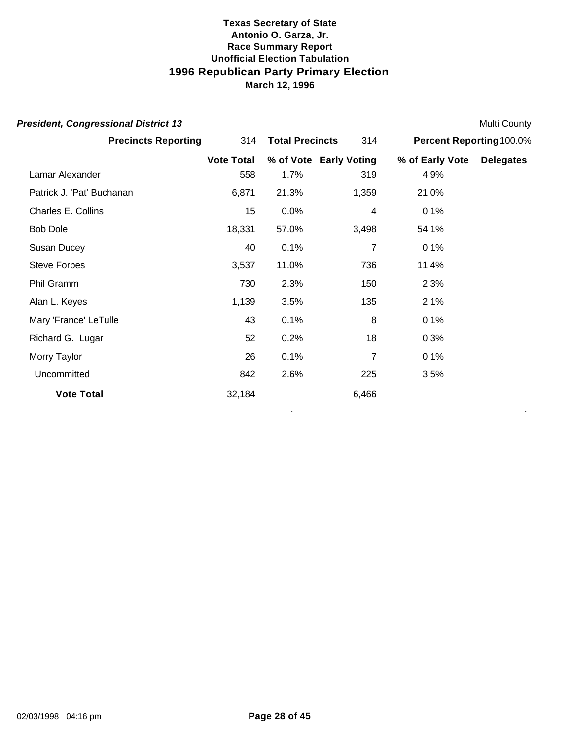| <b>President, Congressional District 13</b> |                   |                        |                        |                           | <b>Multi County</b> |
|---------------------------------------------|-------------------|------------------------|------------------------|---------------------------|---------------------|
| <b>Precincts Reporting</b>                  | 314               | <b>Total Precincts</b> | 314                    | Percent Reporting 100.0%  |                     |
|                                             | <b>Vote Total</b> |                        | % of Vote Early Voting | % of Early Vote Delegates |                     |
| Lamar Alexander                             | 558               | 1.7%                   | 319                    | 4.9%                      |                     |
| Patrick J. 'Pat' Buchanan                   | 6,871             | 21.3%                  | 1,359                  | 21.0%                     |                     |
| Charles E. Collins                          | 15                | 0.0%                   | 4                      | 0.1%                      |                     |
| <b>Bob Dole</b>                             | 18,331            | 57.0%                  | 3,498                  | 54.1%                     |                     |
| Susan Ducey                                 | 40                | 0.1%                   | 7                      | 0.1%                      |                     |
| <b>Steve Forbes</b>                         | 3,537             | 11.0%                  | 736                    | 11.4%                     |                     |
| Phil Gramm                                  | 730               | 2.3%                   | 150                    | 2.3%                      |                     |
| Alan L. Keyes                               | 1,139             | 3.5%                   | 135                    | 2.1%                      |                     |
| Mary 'France' LeTulle                       | 43                | 0.1%                   | $\, 8$                 | 0.1%                      |                     |
| Richard G. Lugar                            | 52                | 0.2%                   | 18                     | 0.3%                      |                     |
| Morry Taylor                                | 26                | 0.1%                   | $\overline{7}$         | 0.1%                      |                     |
| Uncommitted                                 | 842               | 2.6%                   | 225                    | 3.5%                      |                     |
| <b>Vote Total</b>                           | 32,184            |                        | 6,466                  |                           |                     |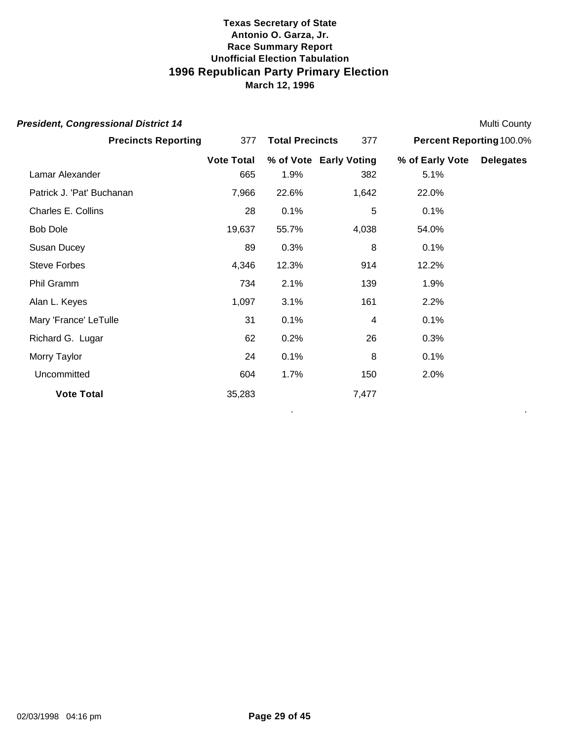| <b>President, Congressional District 14</b> |                   |                        |                        |                          | <b>Multi County</b> |
|---------------------------------------------|-------------------|------------------------|------------------------|--------------------------|---------------------|
| <b>Precincts Reporting</b>                  | 377               | <b>Total Precincts</b> | 377                    | Percent Reporting 100.0% |                     |
|                                             | <b>Vote Total</b> |                        | % of Vote Early Voting | % of Early Vote          | <b>Delegates</b>    |
| Lamar Alexander                             | 665               | 1.9%                   | 382                    | 5.1%                     |                     |
| Patrick J. 'Pat' Buchanan                   | 7,966             | 22.6%                  | 1,642                  | 22.0%                    |                     |
| Charles E. Collins                          | 28                | 0.1%                   | 5                      | 0.1%                     |                     |
| <b>Bob Dole</b>                             | 19,637            | 55.7%                  | 4,038                  | 54.0%                    |                     |
| Susan Ducey                                 | 89                | 0.3%                   | 8                      | 0.1%                     |                     |
| <b>Steve Forbes</b>                         | 4,346             | 12.3%                  | 914                    | 12.2%                    |                     |
| Phil Gramm                                  | 734               | 2.1%                   | 139                    | 1.9%                     |                     |
| Alan L. Keyes                               | 1,097             | 3.1%                   | 161                    | 2.2%                     |                     |
| Mary 'France' LeTulle                       | 31                | 0.1%                   | 4                      | 0.1%                     |                     |
| Richard G. Lugar                            | 62                | 0.2%                   | 26                     | 0.3%                     |                     |
| Morry Taylor                                | 24                | 0.1%                   | 8                      | 0.1%                     |                     |
| Uncommitted                                 | 604               | 1.7%                   | 150                    | 2.0%                     |                     |
| <b>Vote Total</b>                           | 35,283            |                        | 7,477                  |                          |                     |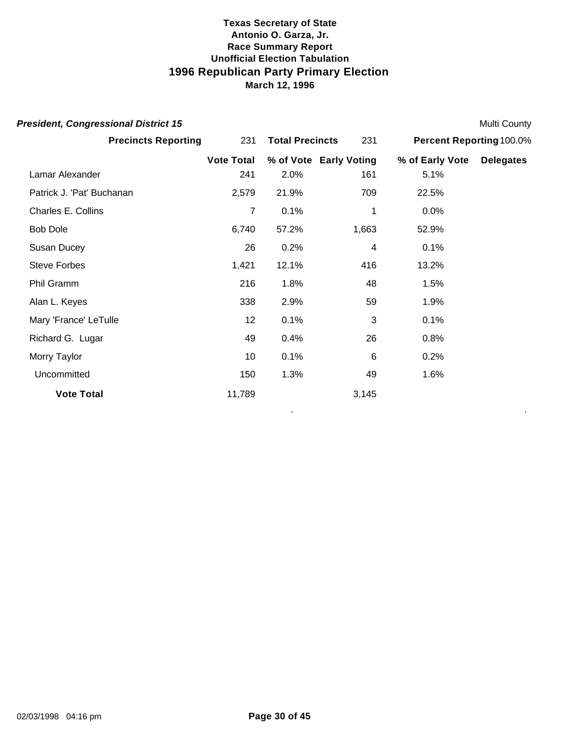| <b>President, Congressional District 15</b> |                   |                        |                        |                          | <b>Multi County</b> |
|---------------------------------------------|-------------------|------------------------|------------------------|--------------------------|---------------------|
| <b>Precincts Reporting</b>                  | 231               | <b>Total Precincts</b> | 231                    | Percent Reporting 100.0% |                     |
|                                             | <b>Vote Total</b> |                        | % of Vote Early Voting | % of Early Vote          | <b>Delegates</b>    |
| Lamar Alexander                             | 241               | 2.0%                   | 161                    | 5.1%                     |                     |
| Patrick J. 'Pat' Buchanan                   | 2,579             | 21.9%                  | 709                    | 22.5%                    |                     |
| Charles E. Collins                          | 7                 | 0.1%                   | 1                      | 0.0%                     |                     |
| <b>Bob Dole</b>                             | 6,740             | 57.2%                  | 1,663                  | 52.9%                    |                     |
| Susan Ducey                                 | 26                | 0.2%                   | 4                      | 0.1%                     |                     |
| <b>Steve Forbes</b>                         | 1,421             | 12.1%                  | 416                    | 13.2%                    |                     |
| Phil Gramm                                  | 216               | 1.8%                   | 48                     | 1.5%                     |                     |
| Alan L. Keyes                               | 338               | 2.9%                   | 59                     | 1.9%                     |                     |
| Mary 'France' LeTulle                       | 12                | 0.1%                   | 3                      | 0.1%                     |                     |
| Richard G. Lugar                            | 49                | 0.4%                   | 26                     | 0.8%                     |                     |
| Morry Taylor                                | 10                | 0.1%                   | $\,6\,$                | 0.2%                     |                     |
| Uncommitted                                 | 150               | 1.3%                   | 49                     | 1.6%                     |                     |
| <b>Vote Total</b>                           | 11,789            |                        | 3,145                  |                          |                     |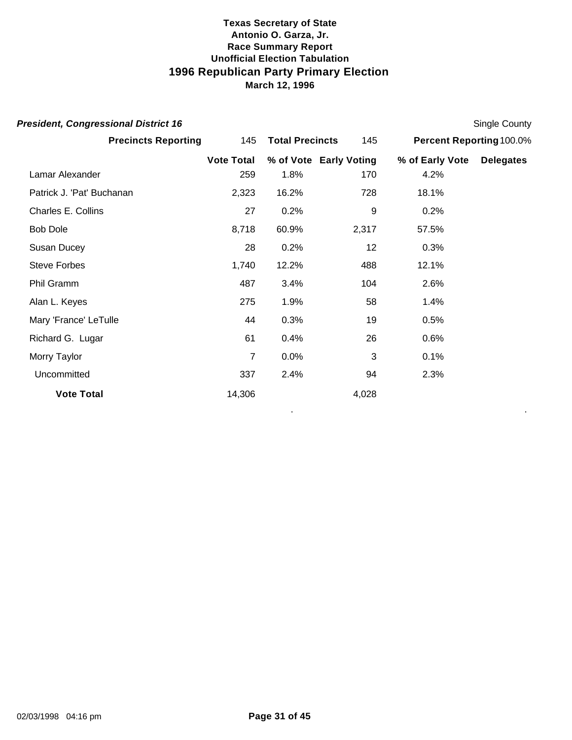| <b>President, Congressional District 16</b> |                   |                        |                        |                          | Single County    |
|---------------------------------------------|-------------------|------------------------|------------------------|--------------------------|------------------|
| <b>Precincts Reporting</b>                  | 145               | <b>Total Precincts</b> | 145                    | Percent Reporting 100.0% |                  |
|                                             | <b>Vote Total</b> |                        | % of Vote Early Voting | % of Early Vote          | <b>Delegates</b> |
| Lamar Alexander                             | 259               | 1.8%                   | 170                    | 4.2%                     |                  |
| Patrick J. 'Pat' Buchanan                   | 2,323             | 16.2%                  | 728                    | 18.1%                    |                  |
| Charles E. Collins                          | 27                | 0.2%                   | 9                      | 0.2%                     |                  |
| <b>Bob Dole</b>                             | 8,718             | 60.9%                  | 2,317                  | 57.5%                    |                  |
| Susan Ducey                                 | 28                | 0.2%                   | 12                     | 0.3%                     |                  |
| <b>Steve Forbes</b>                         | 1,740             | 12.2%                  | 488                    | 12.1%                    |                  |
| Phil Gramm                                  | 487               | 3.4%                   | 104                    | 2.6%                     |                  |
| Alan L. Keyes                               | 275               | 1.9%                   | 58                     | 1.4%                     |                  |
| Mary 'France' LeTulle                       | 44                | 0.3%                   | 19                     | 0.5%                     |                  |
| Richard G. Lugar                            | 61                | 0.4%                   | 26                     | 0.6%                     |                  |
| Morry Taylor                                | 7                 | 0.0%                   | 3                      | 0.1%                     |                  |
| Uncommitted                                 | 337               | 2.4%                   | 94                     | 2.3%                     |                  |
| <b>Vote Total</b>                           | 14,306            |                        | 4,028                  |                          |                  |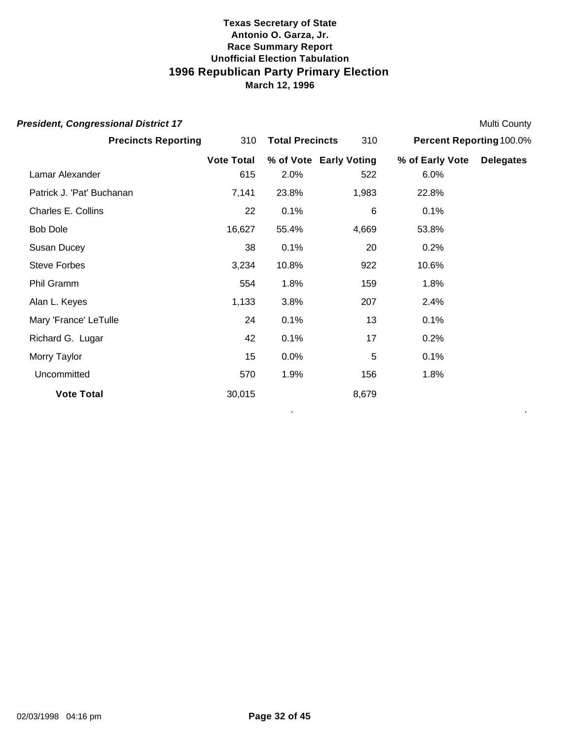| <b>President, Congressional District 17</b> |                   |                        |                        |                          | Multi County     |
|---------------------------------------------|-------------------|------------------------|------------------------|--------------------------|------------------|
| <b>Precincts Reporting</b>                  | 310               | <b>Total Precincts</b> | 310                    | Percent Reporting 100.0% |                  |
|                                             | <b>Vote Total</b> |                        | % of Vote Early Voting | % of Early Vote          | <b>Delegates</b> |
| Lamar Alexander                             | 615               | 2.0%                   | 522                    | 6.0%                     |                  |
| Patrick J. 'Pat' Buchanan                   | 7,141             | 23.8%                  | 1,983                  | 22.8%                    |                  |
| Charles E. Collins                          | 22                | 0.1%                   | 6                      | 0.1%                     |                  |
| <b>Bob Dole</b>                             | 16,627            | 55.4%                  | 4,669                  | 53.8%                    |                  |
| Susan Ducey                                 | 38                | 0.1%                   | 20                     | 0.2%                     |                  |
| <b>Steve Forbes</b>                         | 3,234             | 10.8%                  | 922                    | 10.6%                    |                  |
| Phil Gramm                                  | 554               | 1.8%                   | 159                    | 1.8%                     |                  |
| Alan L. Keyes                               | 1,133             | 3.8%                   | 207                    | 2.4%                     |                  |
| Mary 'France' LeTulle                       | 24                | 0.1%                   | 13                     | 0.1%                     |                  |
| Richard G. Lugar                            | 42                | 0.1%                   | 17                     | 0.2%                     |                  |
| Morry Taylor                                | 15                | 0.0%                   | 5                      | 0.1%                     |                  |
| Uncommitted                                 | 570               | 1.9%                   | 156                    | 1.8%                     |                  |
| <b>Vote Total</b>                           | 30,015            |                        | 8,679                  |                          |                  |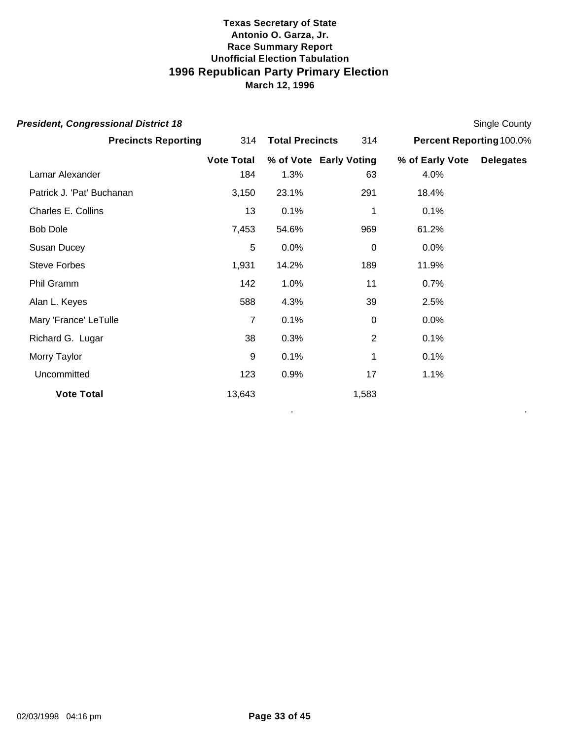| <b>President, Congressional District 18</b> |                   |                        |                |                          | Single County    |
|---------------------------------------------|-------------------|------------------------|----------------|--------------------------|------------------|
| <b>Precincts Reporting</b>                  | 314               | <b>Total Precincts</b> | 314            | Percent Reporting 100.0% |                  |
|                                             | <b>Vote Total</b> | % of Vote Early Voting |                | % of Early Vote          | <b>Delegates</b> |
| Lamar Alexander                             | 184               | 1.3%                   | 63             | 4.0%                     |                  |
| Patrick J. 'Pat' Buchanan                   | 3,150             | 23.1%                  | 291            | 18.4%                    |                  |
| Charles E. Collins                          | 13                | 0.1%                   | 1              | 0.1%                     |                  |
| <b>Bob Dole</b>                             | 7,453             | 54.6%                  | 969            | 61.2%                    |                  |
| Susan Ducey                                 | 5                 | 0.0%                   | 0              | 0.0%                     |                  |
| <b>Steve Forbes</b>                         | 1,931             | 14.2%                  | 189            | 11.9%                    |                  |
| Phil Gramm                                  | 142               | 1.0%                   | 11             | 0.7%                     |                  |
| Alan L. Keyes                               | 588               | 4.3%                   | 39             | 2.5%                     |                  |
| Mary 'France' LeTulle                       | 7                 | 0.1%                   | $\Omega$       | 0.0%                     |                  |
| Richard G. Lugar                            | 38                | 0.3%                   | $\overline{2}$ | 0.1%                     |                  |
| Morry Taylor                                | 9                 | 0.1%                   | 1              | 0.1%                     |                  |
| Uncommitted                                 | 123               | 0.9%                   | 17             | 1.1%                     |                  |
| <b>Vote Total</b>                           | 13,643            |                        | 1,583          |                          |                  |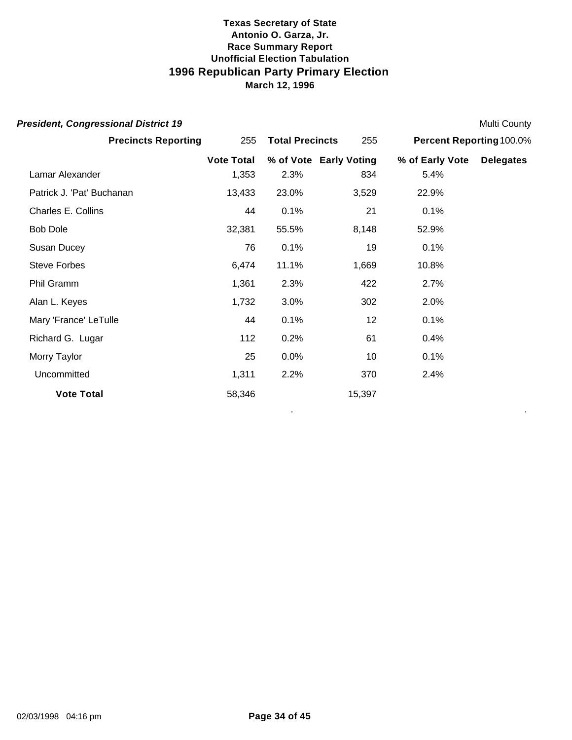| <b>President, Congressional District 19</b> |                   |                        |        |                          | Multi County     |
|---------------------------------------------|-------------------|------------------------|--------|--------------------------|------------------|
| <b>Precincts Reporting</b>                  | 255               | <b>Total Precincts</b> | 255    | Percent Reporting 100.0% |                  |
|                                             | <b>Vote Total</b> | % of Vote Early Voting |        | % of Early Vote          | <b>Delegates</b> |
| Lamar Alexander                             | 1,353             | 2.3%                   | 834    | 5.4%                     |                  |
| Patrick J. 'Pat' Buchanan                   | 13,433            | 23.0%                  | 3,529  | 22.9%                    |                  |
| Charles E. Collins                          | 44                | 0.1%                   | 21     | 0.1%                     |                  |
| <b>Bob Dole</b>                             | 32,381            | 55.5%                  | 8,148  | 52.9%                    |                  |
| Susan Ducey                                 | 76                | 0.1%                   | 19     | 0.1%                     |                  |
| <b>Steve Forbes</b>                         | 6,474             | 11.1%                  | 1,669  | 10.8%                    |                  |
| Phil Gramm                                  | 1,361             | 2.3%                   | 422    | 2.7%                     |                  |
| Alan L. Keyes                               | 1,732             | 3.0%                   | 302    | 2.0%                     |                  |
| Mary 'France' LeTulle                       | 44                | 0.1%                   | 12     | 0.1%                     |                  |
| Richard G. Lugar                            | 112               | 0.2%                   | 61     | 0.4%                     |                  |
| Morry Taylor                                | 25                | 0.0%                   | 10     | 0.1%                     |                  |
| Uncommitted                                 | 1,311             | 2.2%                   | 370    | 2.4%                     |                  |
| <b>Vote Total</b>                           | 58,346            |                        | 15,397 |                          |                  |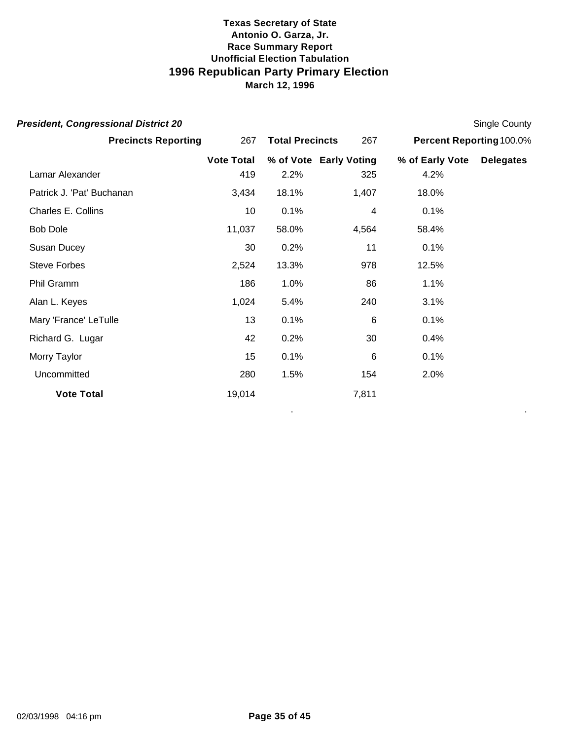| <b>President, Congressional District 20</b> |                   |                        |                        |                          | Single County    |
|---------------------------------------------|-------------------|------------------------|------------------------|--------------------------|------------------|
| <b>Precincts Reporting</b>                  | 267               | <b>Total Precincts</b> |                        | Percent Reporting 100.0% |                  |
|                                             | <b>Vote Total</b> |                        | % of Vote Early Voting | % of Early Vote          | <b>Delegates</b> |
| Lamar Alexander                             | 419               | 2.2%                   | 325                    | 4.2%                     |                  |
| Patrick J. 'Pat' Buchanan                   | 3,434             | 18.1%                  | 1,407                  | 18.0%                    |                  |
| Charles E. Collins                          | 10 <sup>1</sup>   | 0.1%                   | 4                      | 0.1%                     |                  |
| <b>Bob Dole</b>                             | 11,037            | 58.0%                  | 4,564                  | 58.4%                    |                  |
| Susan Ducey                                 | 30                | 0.2%                   | 11                     | 0.1%                     |                  |
| <b>Steve Forbes</b>                         | 2,524             | 13.3%                  | 978                    | 12.5%                    |                  |
| Phil Gramm                                  | 186               | 1.0%                   | 86                     | 1.1%                     |                  |
| Alan L. Keyes                               | 1,024             | 5.4%                   | 240                    | 3.1%                     |                  |
| Mary 'France' LeTulle                       | 13                | 0.1%                   | 6                      | 0.1%                     |                  |
| Richard G. Lugar                            | 42                | 0.2%                   | 30                     | 0.4%                     |                  |
| Morry Taylor                                | 15                | 0.1%                   | 6                      | 0.1%                     |                  |
| Uncommitted                                 | 280               | 1.5%                   | 154                    | 2.0%                     |                  |
| <b>Vote Total</b>                           | 19,014            |                        | 7,811                  |                          |                  |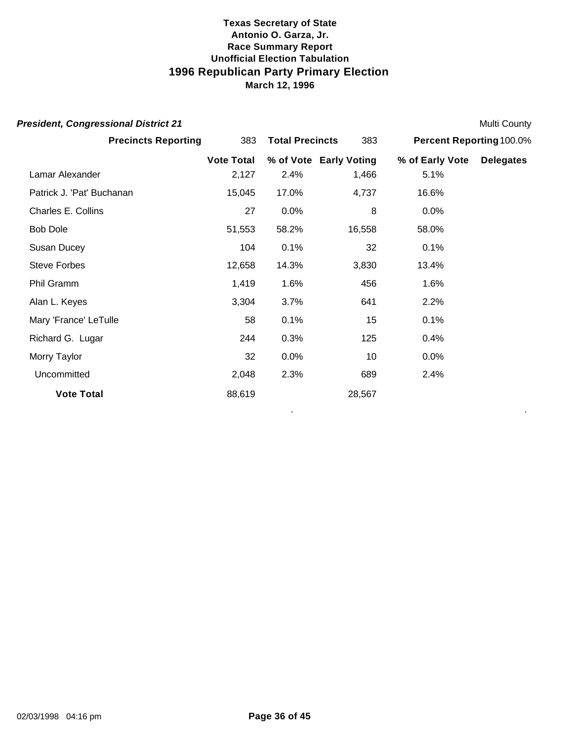| <b>President, Congressional District 21</b> |                   |                        |                        |                          | <b>Multi County</b> |
|---------------------------------------------|-------------------|------------------------|------------------------|--------------------------|---------------------|
| <b>Precincts Reporting</b>                  | 383               | <b>Total Precincts</b> |                        | Percent Reporting 100.0% |                     |
|                                             | <b>Vote Total</b> |                        | % of Vote Early Voting | % of Early Vote          | <b>Delegates</b>    |
| Lamar Alexander                             | 2,127             | 2.4%                   | 1,466                  | 5.1%                     |                     |
| Patrick J. 'Pat' Buchanan                   | 15,045            | 17.0%                  | 4,737                  | 16.6%                    |                     |
| Charles E. Collins                          | 27                | 0.0%                   | 8                      | 0.0%                     |                     |
| <b>Bob Dole</b>                             | 51,553            | 58.2%                  | 16,558                 | 58.0%                    |                     |
| Susan Ducey                                 | 104               | 0.1%                   | 32                     | 0.1%                     |                     |
| <b>Steve Forbes</b>                         | 12,658            | 14.3%                  | 3,830                  | 13.4%                    |                     |
| Phil Gramm                                  | 1,419             | 1.6%                   | 456                    | 1.6%                     |                     |
| Alan L. Keyes                               | 3,304             | 3.7%                   | 641                    | 2.2%                     |                     |
| Mary 'France' LeTulle                       | 58                | 0.1%                   | 15                     | 0.1%                     |                     |
| Richard G. Lugar                            | 244               | 0.3%                   | 125                    | 0.4%                     |                     |
| Morry Taylor                                | 32                | 0.0%                   | 10                     | 0.0%                     |                     |
| Uncommitted                                 | 2,048             | 2.3%                   | 689                    | 2.4%                     |                     |
| <b>Vote Total</b>                           | 88,619            |                        | 28,567                 |                          |                     |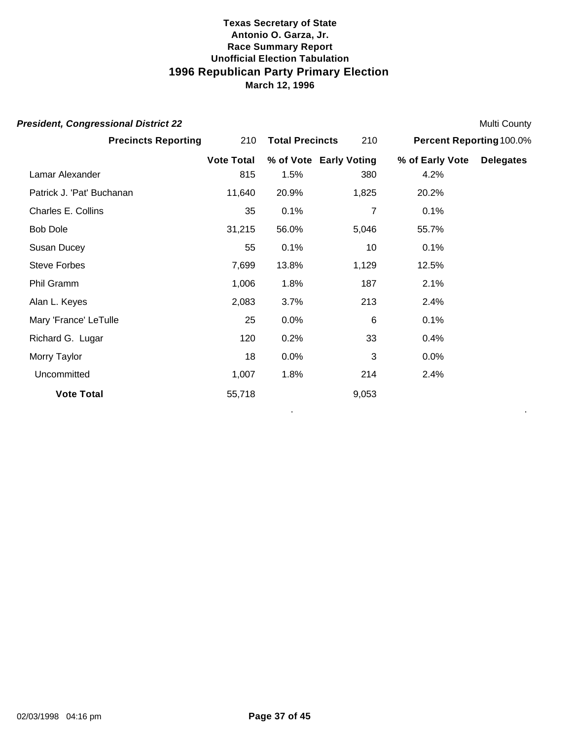| <b>President, Congressional District 22</b> |                   |                        |                        |                          | Multi County     |
|---------------------------------------------|-------------------|------------------------|------------------------|--------------------------|------------------|
| <b>Precincts Reporting</b>                  | 210               | <b>Total Precincts</b> | 210                    | Percent Reporting 100.0% |                  |
|                                             | <b>Vote Total</b> |                        | % of Vote Early Voting | % of Early Vote          | <b>Delegates</b> |
| Lamar Alexander                             | 815               | 1.5%                   | 380                    | 4.2%                     |                  |
| Patrick J. 'Pat' Buchanan                   | 11,640            | 20.9%                  | 1,825                  | 20.2%                    |                  |
| Charles E. Collins                          | 35                | 0.1%                   | 7                      | 0.1%                     |                  |
| <b>Bob Dole</b>                             | 31,215            | 56.0%                  | 5,046                  | 55.7%                    |                  |
| Susan Ducey                                 | 55                | 0.1%                   | 10                     | 0.1%                     |                  |
| <b>Steve Forbes</b>                         | 7,699             | 13.8%                  | 1,129                  | 12.5%                    |                  |
| Phil Gramm                                  | 1,006             | 1.8%                   | 187                    | 2.1%                     |                  |
| Alan L. Keyes                               | 2,083             | 3.7%                   | 213                    | 2.4%                     |                  |
| Mary 'France' LeTulle                       | 25                | 0.0%                   | 6                      | 0.1%                     |                  |
| Richard G. Lugar                            | 120               | 0.2%                   | 33                     | 0.4%                     |                  |
| Morry Taylor                                | 18                | 0.0%                   | 3                      | 0.0%                     |                  |
| Uncommitted                                 | 1,007             | 1.8%                   | 214                    | 2.4%                     |                  |
| <b>Vote Total</b>                           | 55,718            |                        | 9,053                  |                          |                  |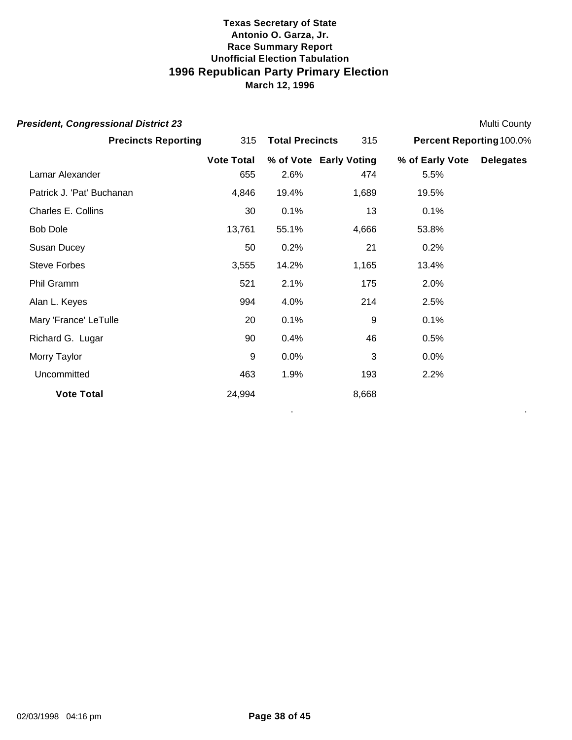| <b>President, Congressional District 23</b> |                   |                        |                        |                           | Multi County |
|---------------------------------------------|-------------------|------------------------|------------------------|---------------------------|--------------|
| <b>Precincts Reporting</b>                  | 315               | <b>Total Precincts</b> |                        | Percent Reporting 100.0%  |              |
|                                             | <b>Vote Total</b> |                        | % of Vote Early Voting | % of Early Vote Delegates |              |
| Lamar Alexander                             | 655               | 2.6%                   | 474                    | 5.5%                      |              |
| Patrick J. 'Pat' Buchanan                   | 4,846             | 19.4%                  | 1,689                  | 19.5%                     |              |
| Charles E. Collins                          | 30                | 0.1%                   | 13                     | 0.1%                      |              |
| <b>Bob Dole</b>                             | 13,761            | 55.1%                  | 4,666                  | 53.8%                     |              |
| Susan Ducey                                 | 50                | 0.2%                   | 21                     | 0.2%                      |              |
| <b>Steve Forbes</b>                         | 3,555             | 14.2%                  | 1,165                  | 13.4%                     |              |
| Phil Gramm                                  | 521               | 2.1%                   | 175                    | 2.0%                      |              |
| Alan L. Keyes                               | 994               | 4.0%                   | 214                    | 2.5%                      |              |
| Mary 'France' LeTulle                       | 20                | 0.1%                   | 9                      | 0.1%                      |              |
| Richard G. Lugar                            | 90                | 0.4%                   | 46                     | 0.5%                      |              |
| Morry Taylor                                | 9                 | 0.0%                   | 3                      | 0.0%                      |              |
| Uncommitted                                 | 463               | 1.9%                   | 193                    | 2.2%                      |              |
| <b>Vote Total</b>                           | 24,994            |                        | 8,668                  |                           |              |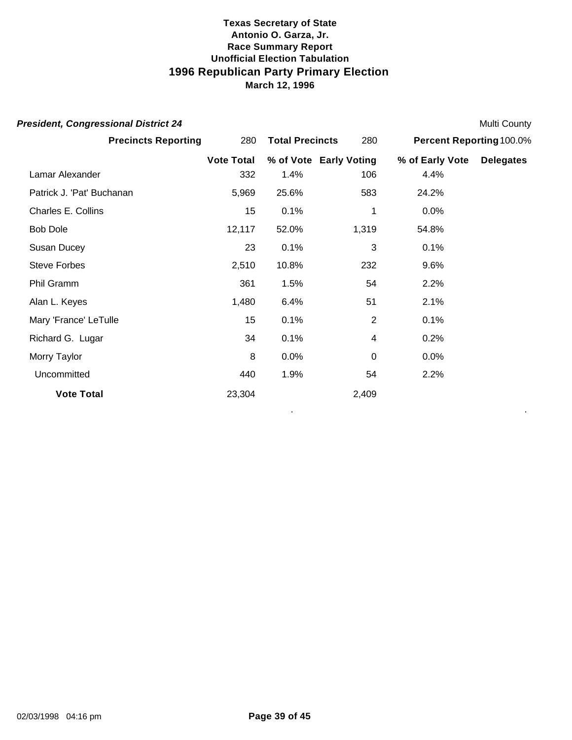| <b>President, Congressional District 24</b> |                   |                        |                        |                          | <b>Multi County</b> |
|---------------------------------------------|-------------------|------------------------|------------------------|--------------------------|---------------------|
| <b>Precincts Reporting</b>                  | 280               | <b>Total Precincts</b> | 280                    | Percent Reporting 100.0% |                     |
|                                             | <b>Vote Total</b> |                        | % of Vote Early Voting | % of Early Vote          | <b>Delegates</b>    |
| Lamar Alexander                             | 332               | 1.4%                   | 106                    | 4.4%                     |                     |
| Patrick J. 'Pat' Buchanan                   | 5,969             | 25.6%                  | 583                    | 24.2%                    |                     |
| Charles E. Collins                          | 15                | 0.1%                   | 1                      | 0.0%                     |                     |
| <b>Bob Dole</b>                             | 12,117            | 52.0%                  | 1,319                  | 54.8%                    |                     |
| Susan Ducey                                 | 23                | 0.1%                   | 3                      | 0.1%                     |                     |
| <b>Steve Forbes</b>                         | 2,510             | 10.8%                  | 232                    | 9.6%                     |                     |
| Phil Gramm                                  | 361               | 1.5%                   | 54                     | 2.2%                     |                     |
| Alan L. Keyes                               | 1,480             | 6.4%                   | 51                     | 2.1%                     |                     |
| Mary 'France' LeTulle                       | 15                | 0.1%                   | $\overline{2}$         | 0.1%                     |                     |
| Richard G. Lugar                            | 34                | 0.1%                   | 4                      | 0.2%                     |                     |
| Morry Taylor                                | 8                 | 0.0%                   | 0                      | 0.0%                     |                     |
| Uncommitted                                 | 440               | 1.9%                   | 54                     | 2.2%                     |                     |
| <b>Vote Total</b>                           | 23,304            |                        | 2,409                  |                          |                     |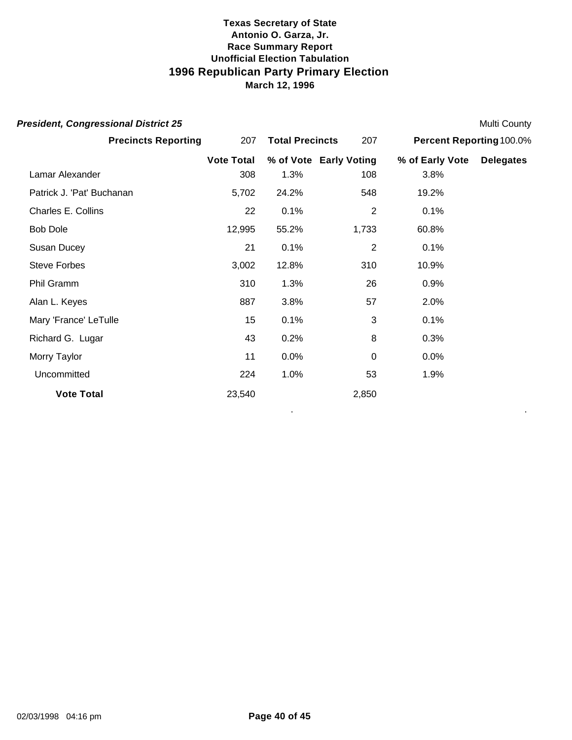| <b>President, Congressional District 25</b> |                   |                        |                |                          | Multi County     |
|---------------------------------------------|-------------------|------------------------|----------------|--------------------------|------------------|
| <b>Precincts Reporting</b>                  | 207               | <b>Total Precincts</b> |                | Percent Reporting 100.0% |                  |
|                                             | <b>Vote Total</b> | % of Vote Early Voting |                | % of Early Vote          | <b>Delegates</b> |
| Lamar Alexander                             | 308               | 1.3%                   | 108            | 3.8%                     |                  |
| Patrick J. 'Pat' Buchanan                   | 5,702             | 24.2%                  | 548            | 19.2%                    |                  |
| Charles E. Collins                          | 22                | 0.1%                   | $\overline{2}$ | 0.1%                     |                  |
| <b>Bob Dole</b>                             | 12,995            | 55.2%                  | 1,733          | 60.8%                    |                  |
| Susan Ducey                                 | 21                | 0.1%                   | $\overline{2}$ | 0.1%                     |                  |
| <b>Steve Forbes</b>                         | 3,002             | 12.8%                  | 310            | 10.9%                    |                  |
| Phil Gramm                                  | 310               | 1.3%                   | 26             | 0.9%                     |                  |
| Alan L. Keyes                               | 887               | 3.8%                   | 57             | 2.0%                     |                  |
| Mary 'France' LeTulle                       | 15                | 0.1%                   | 3              | 0.1%                     |                  |
| Richard G. Lugar                            | 43                | 0.2%                   | 8              | 0.3%                     |                  |
| Morry Taylor                                | 11                | 0.0%                   | 0              | 0.0%                     |                  |
| Uncommitted                                 | 224               | 1.0%                   | 53             | 1.9%                     |                  |
| <b>Vote Total</b>                           | 23,540            |                        | 2,850          |                          |                  |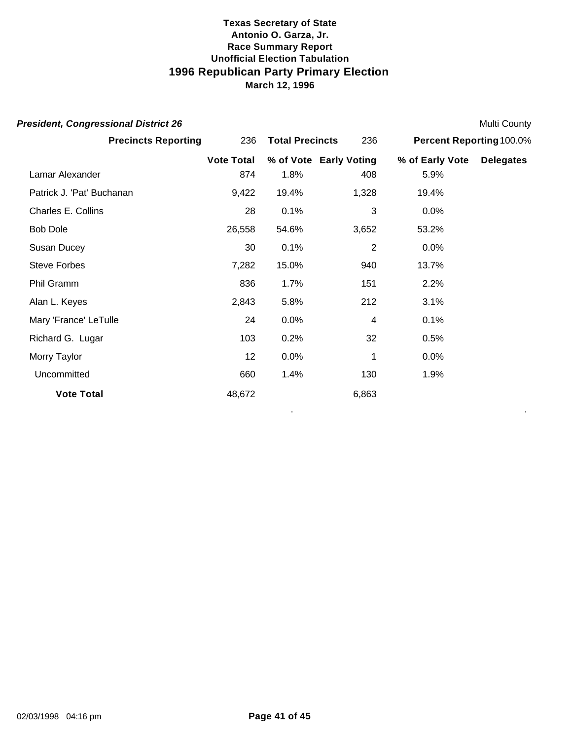| <b>President, Congressional District 26</b> |                   |                        |                        |                          | <b>Multi County</b> |
|---------------------------------------------|-------------------|------------------------|------------------------|--------------------------|---------------------|
| <b>Precincts Reporting</b>                  | 236               | <b>Total Precincts</b> | 236                    | Percent Reporting 100.0% |                     |
|                                             | <b>Vote Total</b> |                        | % of Vote Early Voting | % of Early Vote          | <b>Delegates</b>    |
| Lamar Alexander                             | 874               | 1.8%                   | 408                    | 5.9%                     |                     |
| Patrick J. 'Pat' Buchanan                   | 9,422             | 19.4%                  | 1,328                  | 19.4%                    |                     |
| Charles E. Collins                          | 28                | 0.1%                   | 3                      | 0.0%                     |                     |
| <b>Bob Dole</b>                             | 26,558            | 54.6%                  | 3,652                  | 53.2%                    |                     |
| Susan Ducey                                 | 30                | 0.1%                   | $\overline{2}$         | 0.0%                     |                     |
| <b>Steve Forbes</b>                         | 7,282             | 15.0%                  | 940                    | 13.7%                    |                     |
| Phil Gramm                                  | 836               | 1.7%                   | 151                    | 2.2%                     |                     |
| Alan L. Keyes                               | 2,843             | 5.8%                   | 212                    | 3.1%                     |                     |
| Mary 'France' LeTulle                       | 24                | 0.0%                   | 4                      | 0.1%                     |                     |
| Richard G. Lugar                            | 103               | 0.2%                   | 32                     | 0.5%                     |                     |
| Morry Taylor                                | 12                | 0.0%                   | 1                      | 0.0%                     |                     |
| Uncommitted                                 | 660               | 1.4%                   | 130                    | 1.9%                     |                     |
| <b>Vote Total</b>                           | 48,672            |                        | 6,863                  |                          |                     |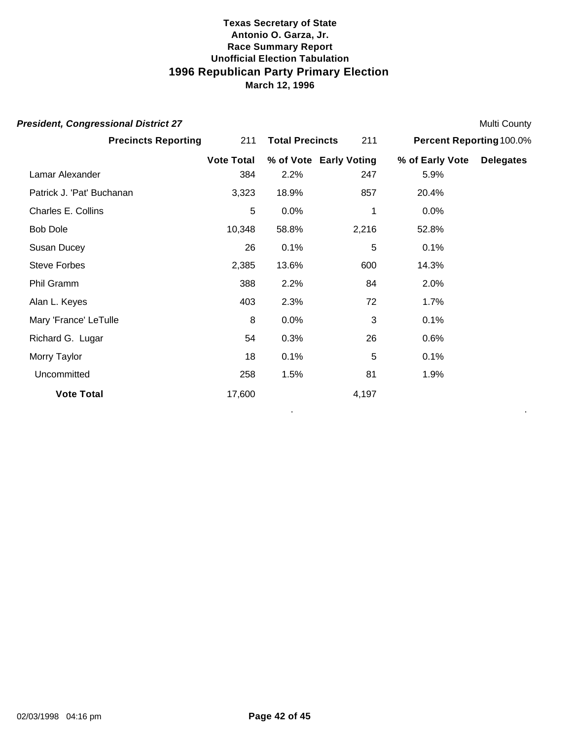| <b>President, Congressional District 27</b> |                   |                        |                        |                          | <b>Multi County</b> |
|---------------------------------------------|-------------------|------------------------|------------------------|--------------------------|---------------------|
| <b>Precincts Reporting</b>                  | 211               | <b>Total Precincts</b> |                        | Percent Reporting 100.0% |                     |
|                                             | <b>Vote Total</b> |                        | % of Vote Early Voting | % of Early Vote          | <b>Delegates</b>    |
| Lamar Alexander                             | 384               | 2.2%                   | 247                    | 5.9%                     |                     |
| Patrick J. 'Pat' Buchanan                   | 3,323             | 18.9%                  | 857                    | 20.4%                    |                     |
| Charles E. Collins                          | 5                 | 0.0%                   | 1                      | 0.0%                     |                     |
| <b>Bob Dole</b>                             | 10,348            | 58.8%                  | 2,216                  | 52.8%                    |                     |
| Susan Ducey                                 | 26                | 0.1%                   | 5                      | 0.1%                     |                     |
| <b>Steve Forbes</b>                         | 2,385             | 13.6%                  | 600                    | 14.3%                    |                     |
| Phil Gramm                                  | 388               | 2.2%                   | 84                     | 2.0%                     |                     |
| Alan L. Keyes                               | 403               | 2.3%                   | 72                     | 1.7%                     |                     |
| Mary 'France' LeTulle                       | 8                 | 0.0%                   | 3                      | 0.1%                     |                     |
| Richard G. Lugar                            | 54                | 0.3%                   | 26                     | 0.6%                     |                     |
| Morry Taylor                                | 18                | 0.1%                   | 5                      | 0.1%                     |                     |
| Uncommitted                                 | 258               | 1.5%                   | 81                     | 1.9%                     |                     |
| <b>Vote Total</b>                           | 17,600            |                        | 4,197                  |                          |                     |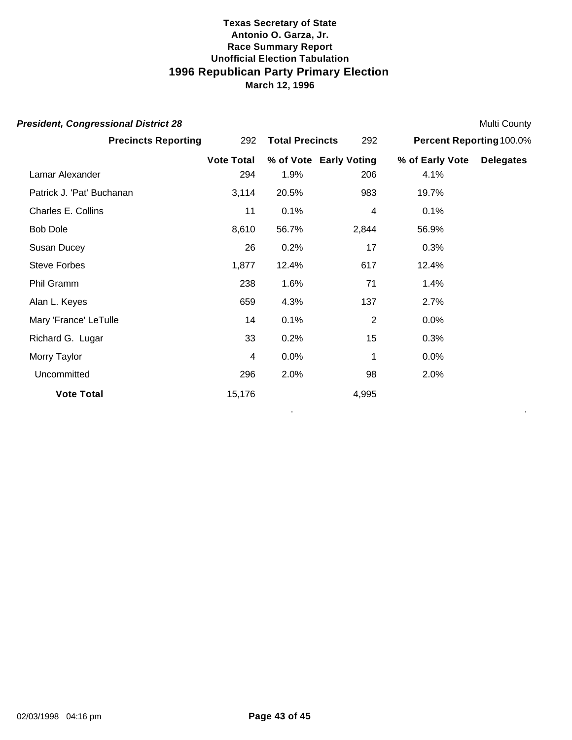| <b>President, Congressional District 28</b> |                   |                        |                        |                          | <b>Multi County</b> |
|---------------------------------------------|-------------------|------------------------|------------------------|--------------------------|---------------------|
| <b>Precincts Reporting</b>                  | 292               | <b>Total Precincts</b> |                        | Percent Reporting 100.0% |                     |
|                                             | <b>Vote Total</b> |                        | % of Vote Early Voting | % of Early Vote          | <b>Delegates</b>    |
| Lamar Alexander                             | 294               | 1.9%                   | 206                    | 4.1%                     |                     |
| Patrick J. 'Pat' Buchanan                   | 3,114             | 20.5%                  | 983                    | 19.7%                    |                     |
| Charles E. Collins                          | 11                | 0.1%                   | 4                      | 0.1%                     |                     |
| <b>Bob Dole</b>                             | 8,610             | 56.7%                  | 2,844                  | 56.9%                    |                     |
| Susan Ducey                                 | 26                | 0.2%                   | 17                     | 0.3%                     |                     |
| <b>Steve Forbes</b>                         | 1,877             | 12.4%                  | 617                    | 12.4%                    |                     |
| Phil Gramm                                  | 238               | 1.6%                   | 71                     | 1.4%                     |                     |
| Alan L. Keyes                               | 659               | 4.3%                   | 137                    | 2.7%                     |                     |
| Mary 'France' LeTulle                       | 14                | 0.1%                   | $\overline{2}$         | 0.0%                     |                     |
| Richard G. Lugar                            | 33                | 0.2%                   | 15                     | 0.3%                     |                     |
| Morry Taylor                                | 4                 | 0.0%                   | 1                      | 0.0%                     |                     |
| Uncommitted                                 | 296               | 2.0%                   | 98                     | 2.0%                     |                     |
| <b>Vote Total</b>                           | 15,176            |                        | 4,995                  |                          |                     |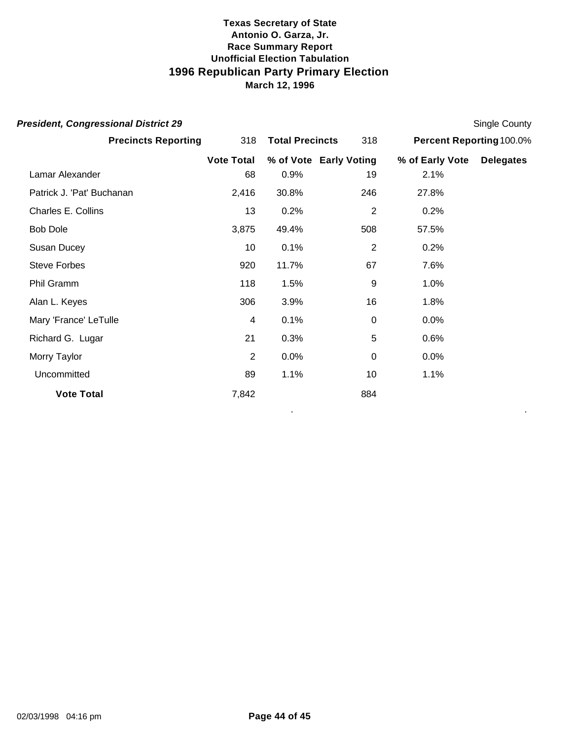| <b>President, Congressional District 29</b> |                   |                        |                        |                          | Single County    |
|---------------------------------------------|-------------------|------------------------|------------------------|--------------------------|------------------|
| <b>Precincts Reporting</b>                  | 318               | <b>Total Precincts</b> |                        | Percent Reporting 100.0% |                  |
|                                             | <b>Vote Total</b> |                        | % of Vote Early Voting | % of Early Vote          | <b>Delegates</b> |
| Lamar Alexander                             | 68                | 0.9%                   | 19                     | 2.1%                     |                  |
| Patrick J. 'Pat' Buchanan                   | 2,416             | 30.8%                  | 246                    | 27.8%                    |                  |
| Charles E. Collins                          | 13                | 0.2%                   | $\overline{2}$         | 0.2%                     |                  |
| <b>Bob Dole</b>                             | 3,875             | 49.4%                  | 508                    | 57.5%                    |                  |
| Susan Ducey                                 | 10                | 0.1%                   | $\overline{2}$         | 0.2%                     |                  |
| <b>Steve Forbes</b>                         | 920               | 11.7%                  | 67                     | 7.6%                     |                  |
| Phil Gramm                                  | 118               | 1.5%                   | 9                      | 1.0%                     |                  |
| Alan L. Keyes                               | 306               | 3.9%                   | 16                     | 1.8%                     |                  |
| Mary 'France' LeTulle                       | 4                 | 0.1%                   | 0                      | 0.0%                     |                  |
| Richard G. Lugar                            | 21                | 0.3%                   | 5                      | 0.6%                     |                  |
| Morry Taylor                                | 2                 | 0.0%                   | 0                      | 0.0%                     |                  |
| Uncommitted                                 | 89                | 1.1%                   | 10                     | 1.1%                     |                  |
| <b>Vote Total</b>                           | 7,842             |                        | 884                    |                          |                  |